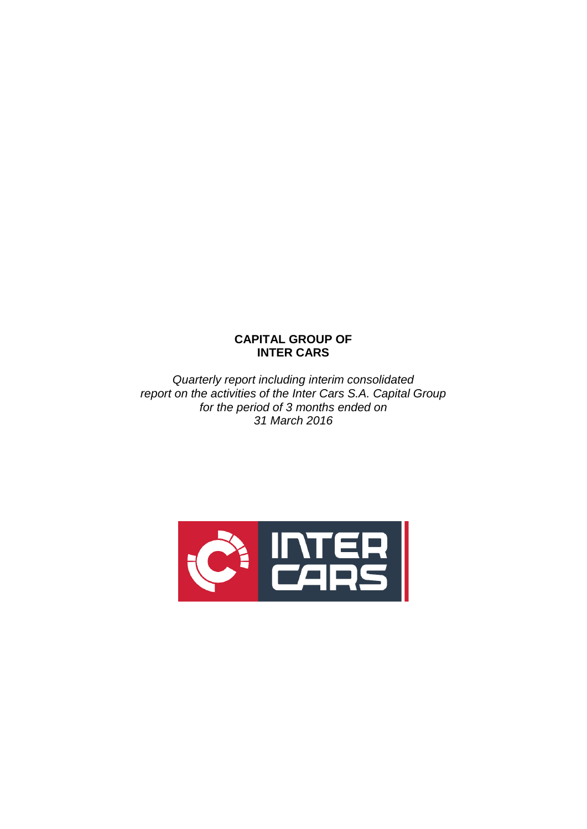# **CAPITAL GROUP OF INTER CARS**

*Quarterly report including interim consolidated report on the activities of the Inter Cars S.A. Capital Group for the period of 3 months ended on 31 March 2016*

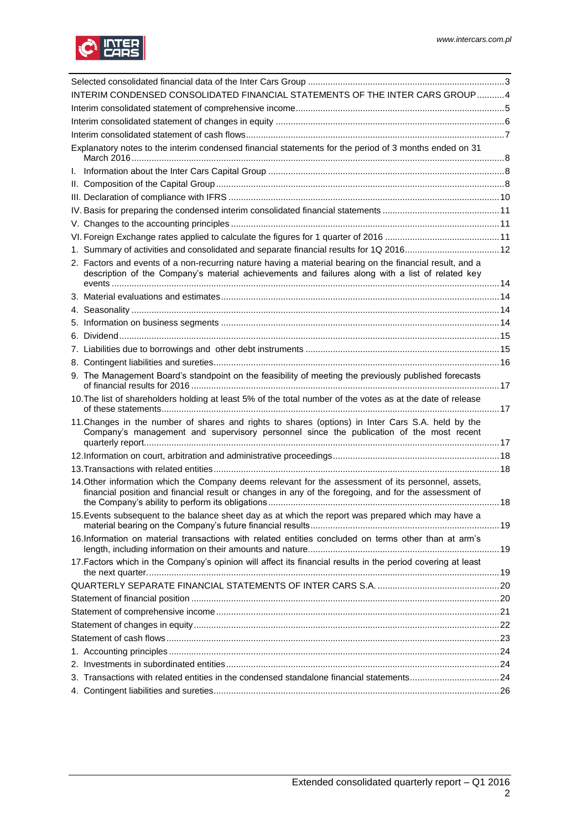

| INTERIM CONDENSED CONSOLIDATED FINANCIAL STATEMENTS OF THE INTER CARS GROUP4                                                                                                                                 |  |
|--------------------------------------------------------------------------------------------------------------------------------------------------------------------------------------------------------------|--|
|                                                                                                                                                                                                              |  |
|                                                                                                                                                                                                              |  |
|                                                                                                                                                                                                              |  |
| Explanatory notes to the interim condensed financial statements for the period of 3 months ended on 31                                                                                                       |  |
|                                                                                                                                                                                                              |  |
|                                                                                                                                                                                                              |  |
|                                                                                                                                                                                                              |  |
|                                                                                                                                                                                                              |  |
|                                                                                                                                                                                                              |  |
|                                                                                                                                                                                                              |  |
| 1. Summary of activities and consolidated and separate financial results for 1Q 201612                                                                                                                       |  |
| 2. Factors and events of a non-recurring nature having a material bearing on the financial result, and a<br>description of the Company's material achievements and failures along with a list of related key |  |
|                                                                                                                                                                                                              |  |
|                                                                                                                                                                                                              |  |
|                                                                                                                                                                                                              |  |
|                                                                                                                                                                                                              |  |
|                                                                                                                                                                                                              |  |
|                                                                                                                                                                                                              |  |
| 9. The Management Board's standpoint on the feasibility of meeting the previously published forecasts                                                                                                        |  |
| 10. The list of shareholders holding at least 5% of the total number of the votes as at the date of release                                                                                                  |  |
| 11. Changes in the number of shares and rights to shares (options) in Inter Cars S.A. held by the<br>Company's management and supervisory personnel since the publication of the most recent                 |  |
|                                                                                                                                                                                                              |  |
|                                                                                                                                                                                                              |  |
| 14. Other information which the Company deems relevant for the assessment of its personnel, assets,<br>financial position and financial result or changes in any of the foregoing, and for the assessment of |  |
| 15. Events subsequent to the balance sheet day as at which the report was prepared which may have a                                                                                                          |  |
| 16.Information on material transactions with related entities concluded on terms other than at arm's                                                                                                         |  |
| 17. Factors which in the Company's opinion will affect its financial results in the period covering at least                                                                                                 |  |
|                                                                                                                                                                                                              |  |
|                                                                                                                                                                                                              |  |
|                                                                                                                                                                                                              |  |
|                                                                                                                                                                                                              |  |
|                                                                                                                                                                                                              |  |
|                                                                                                                                                                                                              |  |
|                                                                                                                                                                                                              |  |
| 3. Transactions with related entities in the condensed standalone financial statements24                                                                                                                     |  |
|                                                                                                                                                                                                              |  |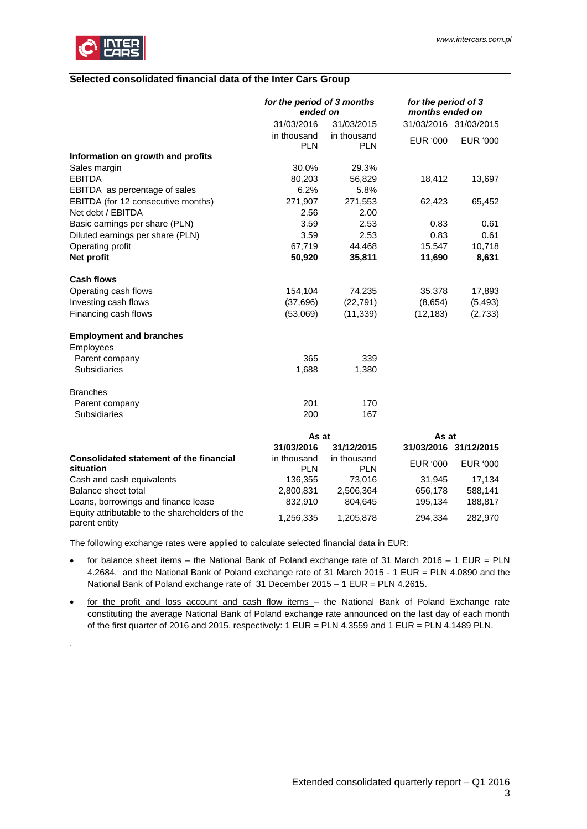

.

# <span id="page-2-0"></span>**Selected consolidated financial data of the Inter Cars Group**

|                                                                 | for the period of 3 months<br>ended on |                           | for the period of 3<br>months ended on |                       |
|-----------------------------------------------------------------|----------------------------------------|---------------------------|----------------------------------------|-----------------------|
|                                                                 | 31/03/2016                             | 31/03/2015                |                                        | 31/03/2016 31/03/2015 |
|                                                                 | in thousand<br><b>PLN</b>              | in thousand<br><b>PLN</b> | <b>EUR '000</b>                        | EUR '000              |
| Information on growth and profits                               |                                        |                           |                                        |                       |
| Sales margin                                                    | 30.0%                                  | 29.3%                     |                                        |                       |
| <b>EBITDA</b>                                                   | 80,203                                 | 56,829                    | 18,412                                 | 13,697                |
| EBITDA as percentage of sales                                   | 6.2%                                   | 5.8%                      |                                        |                       |
| EBITDA (for 12 consecutive months)                              | 271,907                                | 271,553                   | 62,423                                 | 65,452                |
| Net debt / EBITDA                                               | 2.56                                   | 2.00                      |                                        |                       |
| Basic earnings per share (PLN)                                  | 3.59                                   | 2.53                      | 0.83                                   | 0.61                  |
| Diluted earnings per share (PLN)                                | 3.59                                   | 2.53                      | 0.83                                   | 0.61                  |
| Operating profit                                                | 67,719                                 | 44,468                    | 15,547                                 | 10,718                |
| Net profit                                                      | 50,920                                 | 35,811                    | 11,690                                 | 8,631                 |
| <b>Cash flows</b>                                               |                                        |                           |                                        |                       |
| Operating cash flows                                            | 154,104                                | 74,235                    | 35,378                                 | 17,893                |
| Investing cash flows                                            | (37, 696)                              | (22, 791)                 | (8,654)                                | (5, 493)              |
| Financing cash flows                                            | (53,069)                               | (11, 339)                 | (12, 183)                              | (2,733)               |
| <b>Employment and branches</b>                                  |                                        |                           |                                        |                       |
| Employees                                                       |                                        |                           |                                        |                       |
| Parent company                                                  | 365                                    | 339                       |                                        |                       |
| Subsidiaries                                                    | 1,688                                  | 1,380                     |                                        |                       |
| <b>Branches</b>                                                 |                                        |                           |                                        |                       |
| Parent company                                                  | 201                                    | 170                       |                                        |                       |
| <b>Subsidiaries</b>                                             | 200                                    | 167                       |                                        |                       |
|                                                                 | As at                                  |                           | As at                                  |                       |
|                                                                 | 31/03/2016                             | 31/12/2015                |                                        | 31/03/2016 31/12/2015 |
| <b>Consolidated statement of the financial</b><br>situation     | in thousand<br><b>PLN</b>              | in thousand<br><b>PLN</b> | <b>EUR '000</b>                        | EUR '000              |
| Cash and cash equivalents                                       | 136,355                                | 73,016                    | 31,945                                 | 17,134                |
| Balance sheet total                                             | 2,800,831                              | 2,506,364                 | 656,178                                | 588,141               |
| Loans, borrowings and finance lease                             | 832,910                                | 804,645                   | 195,134                                | 188,817               |
| Equity attributable to the shareholders of the<br>parent entity | 1,256,335                              | 1,205,878                 | 294,334                                | 282,970               |

The following exchange rates were applied to calculate selected financial data in EUR:

- for balance sheet items the National Bank of Poland exchange rate of 31 March 2016 1 EUR = PLN 4.2684, and the National Bank of Poland exchange rate of 31 March 2015 - 1 EUR = PLN 4.0890 and the National Bank of Poland exchange rate of 31 December 2015 – 1 EUR = PLN 4.2615.
- for the profit and loss account and cash flow items the National Bank of Poland Exchange rate constituting the average National Bank of Poland exchange rate announced on the last day of each month of the first quarter of 2016 and 2015, respectively: 1 EUR = PLN 4.3559 and 1 EUR = PLN 4.1489 PLN.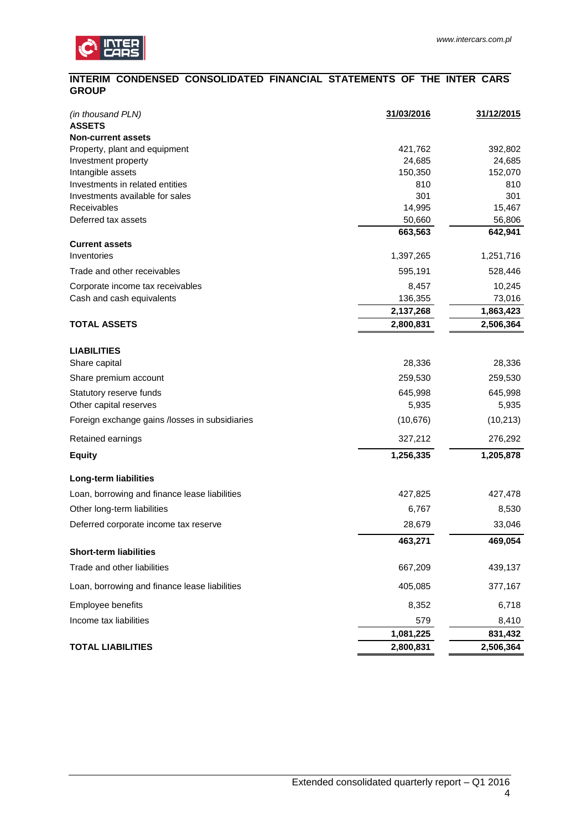# <span id="page-3-0"></span>**INTERIM CONDENSED CONSOLIDATED FINANCIAL STATEMENTS OF THE INTER CARS GROUP**

| (in thousand PLN)<br><b>ASSETS</b>                                 | 31/03/2016 | 31/12/2015 |
|--------------------------------------------------------------------|------------|------------|
| <b>Non-current assets</b>                                          |            |            |
| Property, plant and equipment                                      | 421,762    | 392,802    |
| Investment property                                                | 24,685     | 24,685     |
| Intangible assets                                                  | 150,350    | 152,070    |
| Investments in related entities<br>Investments available for sales | 810<br>301 | 810<br>301 |
| Receivables                                                        | 14,995     | 15,467     |
| Deferred tax assets                                                | 50,660     | 56,806     |
|                                                                    | 663,563    | 642,941    |
| <b>Current assets</b>                                              |            |            |
| Inventories                                                        | 1,397,265  | 1,251,716  |
| Trade and other receivables                                        | 595,191    | 528,446    |
| Corporate income tax receivables                                   | 8,457      | 10,245     |
| Cash and cash equivalents                                          | 136,355    | 73,016     |
|                                                                    | 2,137,268  | 1,863,423  |
| <b>TOTAL ASSETS</b>                                                | 2,800,831  | 2,506,364  |
| <b>LIABILITIES</b>                                                 |            |            |
| Share capital                                                      | 28,336     | 28,336     |
| Share premium account                                              | 259,530    | 259,530    |
| Statutory reserve funds                                            | 645,998    | 645,998    |
| Other capital reserves                                             | 5,935      | 5,935      |
| Foreign exchange gains /losses in subsidiaries                     | (10, 676)  | (10, 213)  |
| Retained earnings                                                  | 327,212    | 276,292    |
| <b>Equity</b>                                                      | 1,256,335  | 1,205,878  |
| <b>Long-term liabilities</b>                                       |            |            |
| Loan, borrowing and finance lease liabilities                      | 427,825    | 427,478    |
| Other long-term liabilities                                        | 6,767      | 8,530      |
| Deferred corporate income tax reserve                              | 28,679     | 33,046     |
|                                                                    | 463,271    | 469,054    |
| <b>Short-term liabilities</b>                                      |            |            |
| Trade and other liabilities                                        | 667,209    | 439,137    |
| Loan, borrowing and finance lease liabilities                      | 405,085    | 377,167    |
| Employee benefits                                                  | 8,352      | 6,718      |
| Income tax liabilities                                             | 579        | 8,410      |
|                                                                    | 1,081,225  | 831,432    |
| <b>TOTAL LIABILITIES</b>                                           | 2,800,831  | 2,506,364  |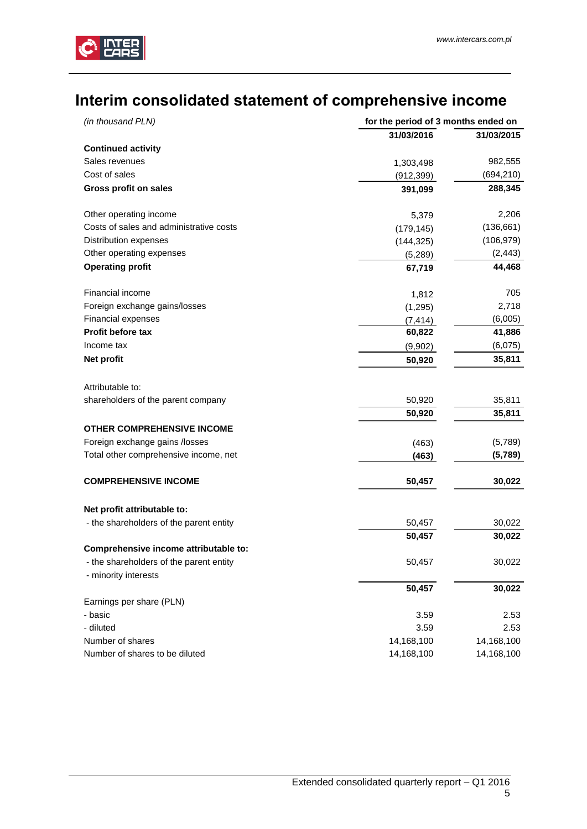

# <span id="page-4-0"></span> **Interim consolidated statement of comprehensive income**

| for the period of 3 months ended on<br>(in thousand PLN)        |            |            |
|-----------------------------------------------------------------|------------|------------|
|                                                                 | 31/03/2016 | 31/03/2015 |
| <b>Continued activity</b>                                       |            |            |
| Sales revenues                                                  | 1,303,498  | 982,555    |
| Cost of sales                                                   | (912, 399) | (694, 210) |
| <b>Gross profit on sales</b>                                    | 391,099    | 288,345    |
| Other operating income                                          | 5,379      | 2,206      |
| Costs of sales and administrative costs                         | (179, 145) | (136, 661) |
| Distribution expenses                                           | (144, 325) | (106, 979) |
| Other operating expenses                                        | (5,289)    | (2, 443)   |
| <b>Operating profit</b>                                         | 67,719     | 44,468     |
| Financial income                                                | 1,812      | 705        |
| Foreign exchange gains/losses                                   | (1, 295)   | 2,718      |
| Financial expenses                                              | (7, 414)   | (6,005)    |
| <b>Profit before tax</b>                                        | 60,822     | 41,886     |
| Income tax                                                      | (9,902)    | (6,075)    |
| Net profit                                                      | 50,920     | 35,811     |
| Attributable to:                                                |            |            |
| shareholders of the parent company                              | 50,920     | 35,811     |
|                                                                 | 50,920     | 35,811     |
| <b>OTHER COMPREHENSIVE INCOME</b>                               |            |            |
| Foreign exchange gains /losses                                  | (463)      | (5,789)    |
| Total other comprehensive income, net                           | (463)      | (5,789)    |
| <b>COMPREHENSIVE INCOME</b>                                     | 50,457     | 30,022     |
| Net profit attributable to:                                     |            |            |
| - the shareholders of the parent entity                         | 50,457     | 30,022     |
|                                                                 | 50,457     | 30,022     |
| Comprehensive income attributable to:                           |            |            |
| - the shareholders of the parent entity<br>- minority interests | 50,457     | 30,022     |
|                                                                 | 50,457     | 30,022     |
| Earnings per share (PLN)                                        |            |            |
| - basic                                                         | 3.59       | 2.53       |
| - diluted                                                       | 3.59       | 2.53       |
| Number of shares                                                | 14,168,100 | 14,168,100 |
| Number of shares to be diluted                                  | 14,168,100 | 14,168,100 |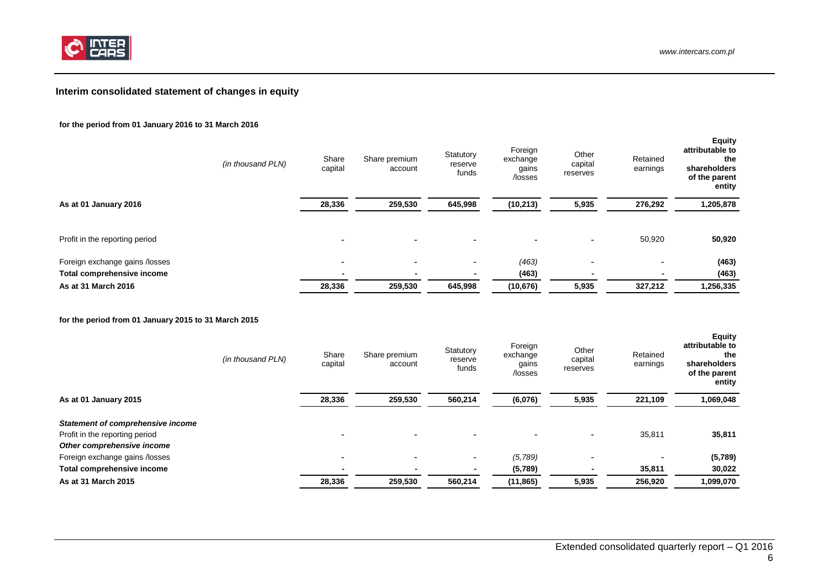

# **Interim consolidated statement of changes in equity**

#### **for the period from 01 January 2016 to 31 March 2016**

|                                | (in thousand PLN) | Share<br>capital | Share premium<br>account | Statutory<br>reserve<br>funds | Foreign<br>exchange<br>gains<br>/losses | Other<br>capital<br>reserves | Retained<br>earnings     | <b>Equity</b><br>attributable to<br>the<br>shareholders<br>of the parent<br>entity |
|--------------------------------|-------------------|------------------|--------------------------|-------------------------------|-----------------------------------------|------------------------------|--------------------------|------------------------------------------------------------------------------------|
| As at 01 January 2016          |                   | 28,336           | 259,530                  | 645,998                       | (10, 213)                               | 5,935                        | 276,292                  | 1,205,878                                                                          |
| Profit in the reporting period |                   |                  |                          | -                             |                                         | ٠                            | 50,920                   | 50,920                                                                             |
| Foreign exchange gains /losses |                   | ۰                | $\overline{\phantom{0}}$ | -                             | (463)                                   | ٠                            |                          | (463)                                                                              |
| Total comprehensive income     |                   |                  | $\overline{\phantom{0}}$ |                               | (463)                                   |                              | $\overline{\phantom{0}}$ | (463)                                                                              |
| As at 31 March 2016            |                   | 28,336           | 259.530                  | 645,998                       | (10, 676)                               | 5,935                        | 327,212                  | 1,256,335                                                                          |

<span id="page-5-0"></span>**for the period from 01 January 2015 to 31 March 2015**

|                                          | (in thousand PLN) | Share<br>capital | Share premium<br>account | Statutory<br>reserve<br>funds | Foreign<br>exchange<br>gains<br>/losses | Other<br>capital<br>reserves | Retained<br>earnings | <b>Equity</b><br>attributable to<br>the<br>shareholders<br>of the parent<br>entity |
|------------------------------------------|-------------------|------------------|--------------------------|-------------------------------|-----------------------------------------|------------------------------|----------------------|------------------------------------------------------------------------------------|
| As at 01 January 2015                    |                   | 28,336           | 259,530                  | 560,214                       | (6,076)                                 | 5,935                        | 221.109              | 1,069,048                                                                          |
| <b>Statement of comprehensive income</b> |                   |                  |                          |                               |                                         |                              |                      |                                                                                    |
| Profit in the reporting period           |                   |                  |                          |                               |                                         | ۰                            | 35,811               | 35,811                                                                             |
| Other comprehensive income               |                   |                  |                          |                               |                                         |                              |                      |                                                                                    |
| Foreign exchange gains /losses           |                   |                  |                          | $\sim$                        | (5,789)                                 | -                            |                      | (5,789)                                                                            |
| Total comprehensive income               |                   |                  |                          | $\blacksquare$                | (5,789)                                 | $\blacksquare$               | 35,811               | 30,022                                                                             |
| As at 31 March 2015                      |                   | 28,336           | 259,530                  | 560,214                       | (11, 865)                               | 5,935                        | 256,920              | 1,099,070                                                                          |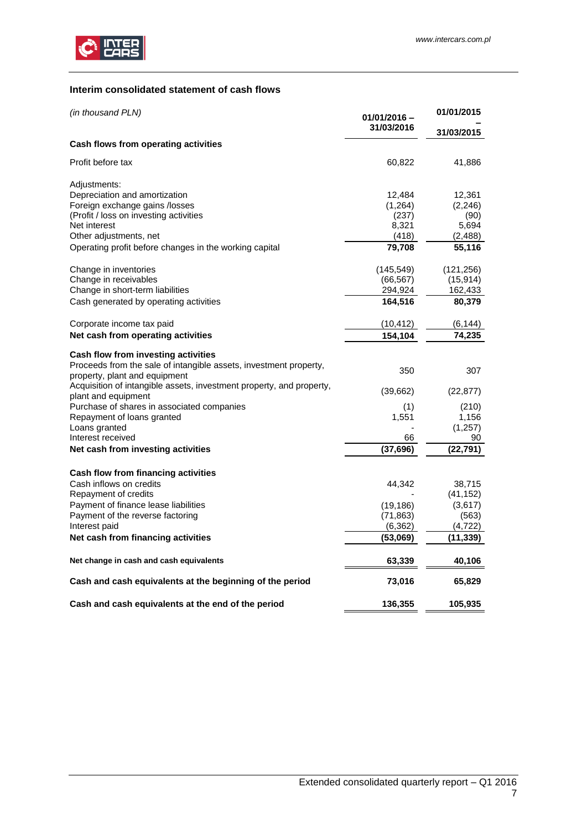

# <span id="page-6-0"></span>**Interim consolidated statement of cash flows**

| (in thousand PLN)                                                                                     | $01/01/2016 -$<br>31/03/2016 | 01/01/2015<br>31/03/2015 |
|-------------------------------------------------------------------------------------------------------|------------------------------|--------------------------|
| Cash flows from operating activities                                                                  |                              |                          |
| Profit before tax                                                                                     | 60,822                       | 41,886                   |
| Adjustments:                                                                                          |                              |                          |
| Depreciation and amortization                                                                         | 12,484                       | 12,361                   |
| Foreign exchange gains /losses                                                                        | (1,264)                      | (2, 246)                 |
| (Profit / loss on investing activities                                                                | (237)                        | (90)                     |
| Net interest                                                                                          | 8,321                        | 5,694                    |
| Other adjustments, net                                                                                | (418)                        | (2,488)                  |
| Operating profit before changes in the working capital                                                | 79,708                       | 55,116                   |
| Change in inventories                                                                                 | (145, 549)                   | (121, 256)               |
| Change in receivables                                                                                 | (66, 567)                    | (15, 914)                |
| Change in short-term liabilities                                                                      | 294,924                      | 162,433                  |
| Cash generated by operating activities                                                                | 164,516                      | 80,379                   |
| Corporate income tax paid                                                                             | (10, 412)                    | (6, 144)                 |
| Net cash from operating activities                                                                    | 154,104                      | 74,235                   |
| Cash flow from investing activities                                                                   |                              |                          |
| Proceeds from the sale of intangible assets, investment property,                                     | 350                          | 307                      |
| property, plant and equipment<br>Acquisition of intangible assets, investment property, and property, |                              |                          |
| plant and equipment                                                                                   | (39,662)                     | (22, 877)                |
| Purchase of shares in associated companies                                                            | (1)                          | (210)                    |
| Repayment of loans granted                                                                            | 1,551                        | 1,156                    |
| Loans granted                                                                                         |                              | (1, 257)                 |
| Interest received                                                                                     | 66                           | 90                       |
| Net cash from investing activities                                                                    | (37,696)                     | (22, 791)                |
| Cash flow from financing activities                                                                   |                              |                          |
| Cash inflows on credits                                                                               | 44,342                       | 38,715                   |
| Repayment of credits                                                                                  |                              | (41, 152)                |
| Payment of finance lease liabilities                                                                  | (19, 186)                    | (3,617)                  |
| Payment of the reverse factoring                                                                      | (71, 863)                    | (563)                    |
| Interest paid                                                                                         | (6, 362)                     | (4,722)                  |
| Net cash from financing activities                                                                    | (53,069)                     | (11, 339)                |
|                                                                                                       |                              |                          |
| Net change in cash and cash equivalents                                                               | 63,339                       | 40,106                   |
| Cash and cash equivalents at the beginning of the period                                              | 73,016                       | 65,829                   |
| Cash and cash equivalents at the end of the period                                                    | 136,355                      | 105,935                  |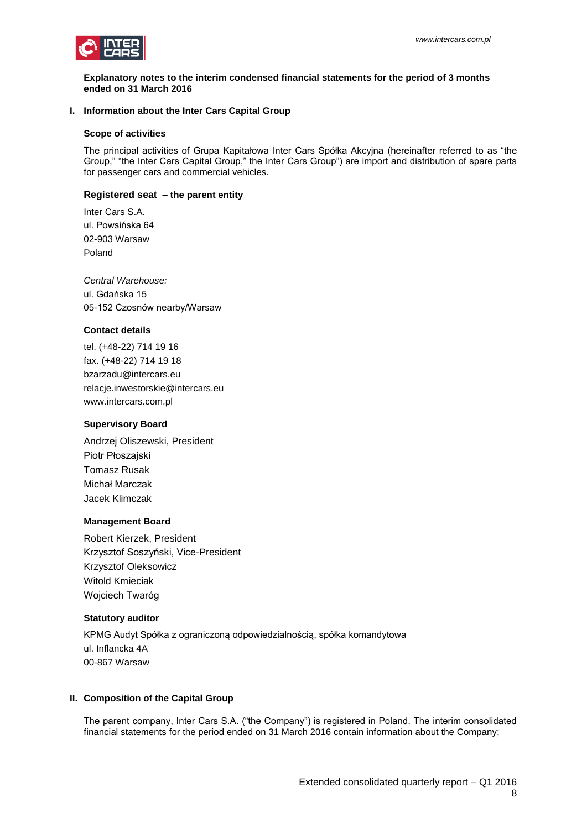

<span id="page-7-0"></span>**Explanatory notes to the interim condensed financial statements for the period of 3 months ended on 31 March 2016**

#### <span id="page-7-1"></span>**I. Information about the Inter Cars Capital Group**

#### **Scope of activities**

The principal activities of Grupa Kapitałowa Inter Cars Spółka Akcyjna (hereinafter referred to as "the Group," "the Inter Cars Capital Group," the Inter Cars Group") are import and distribution of spare parts for passenger cars and commercial vehicles.

## **Registered seat – the parent entity**

Inter Cars S.A. ul. Powsińska 64 02-903 Warsaw Poland

*Central Warehouse:* ul. Gdańska 15 05-152 Czosnów nearby/Warsaw

#### **Contact details**

tel. (+48-22) 714 19 16 fax. (+48-22) 714 19 18 bzarzadu@intercars.eu relacje.inwestorskie@intercars.eu www.intercars.com.pl

#### **Supervisory Board**

Andrzej Oliszewski, President Piotr Płoszajski Tomasz Rusak Michał Marczak Jacek Klimczak

#### **Management Board**

Robert Kierzek, President Krzysztof Soszyński, Vice-President Krzysztof Oleksowicz Witold Kmieciak Wojciech Twaróg

#### **Statutory auditor**

KPMG Audyt Spółka z ograniczoną odpowiedzialnością, spółka komandytowa ul. Inflancka 4A 00-867 Warsaw

#### <span id="page-7-2"></span>**II. Composition of the Capital Group**

The parent company, Inter Cars S.A. ("the Company") is registered in Poland. The interim consolidated financial statements for the period ended on 31 March 2016 contain information about the Company;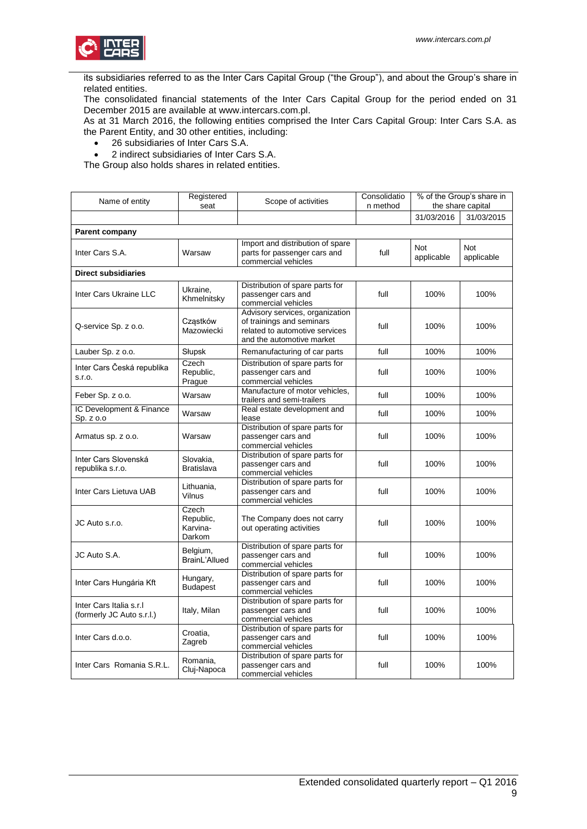

its subsidiaries referred to as the Inter Cars Capital Group ("the Group"), and about the Group's share in related entities.

The consolidated financial statements of the Inter Cars Capital Group for the period ended on 31 December 2015 are available at www.intercars.com.pl.

As at 31 March 2016, the following entities comprised the Inter Cars Capital Group: Inter Cars S.A. as the Parent Entity, and 30 other entities, including:

26 subsidiaries of Inter Cars S.A.

2 indirect subsidiaries of Inter Cars S.A.

The Group also holds shares in related entities.

| Name of entity                                       | Registered<br>seat                       | Scope of activities                                                                                                         | Consolidatio<br>n method | % of the Group's share in<br>the share capital |                   |
|------------------------------------------------------|------------------------------------------|-----------------------------------------------------------------------------------------------------------------------------|--------------------------|------------------------------------------------|-------------------|
|                                                      |                                          |                                                                                                                             |                          | 31/03/2016                                     | 31/03/2015        |
|                                                      |                                          |                                                                                                                             |                          |                                                |                   |
| <b>Parent company</b>                                |                                          |                                                                                                                             |                          |                                                |                   |
| Inter Cars S.A.                                      | Warsaw                                   | Import and distribution of spare<br>parts for passenger cars and<br>commercial vehicles                                     | full                     | Not<br>applicable                              | Not<br>applicable |
| <b>Direct subsidiaries</b>                           |                                          |                                                                                                                             |                          |                                                |                   |
| Inter Cars Ukraine LLC                               | Ukraine,<br>Khmelnitsky                  | Distribution of spare parts for<br>passenger cars and<br>commercial vehicles                                                | full                     | 100%                                           | 100%              |
| Q-service Sp. z o.o.                                 | Cząstków<br>Mazowiecki                   | Advisory services, organization<br>of trainings and seminars<br>related to automotive services<br>and the automotive market | full                     | 100%                                           | 100%              |
| Lauber Sp. z o.o.                                    | Słupsk                                   | Remanufacturing of car parts                                                                                                | full                     | 100%                                           | 100%              |
| Inter Cars Česká republika<br>S.I.O.                 | Czech<br>Republic,<br>Prague             | Distribution of spare parts for<br>passenger cars and<br>commercial vehicles                                                | full                     | 100%                                           | 100%              |
| Feber Sp. z o.o.                                     | Warsaw                                   | Manufacture of motor vehicles,<br>trailers and semi-trailers                                                                | full                     | 100%                                           | 100%              |
| IC Development & Finance<br>Sp. z o.o                | Warsaw                                   | Real estate development and<br>lease                                                                                        | full                     | 100%                                           | 100%              |
| Armatus sp. z o.o.                                   | Warsaw                                   | Distribution of spare parts for<br>passenger cars and<br>commercial vehicles                                                | full                     | 100%                                           | 100%              |
| Inter Cars Slovenská<br>republika s.r.o.             | Slovakia,<br><b>Bratislava</b>           | Distribution of spare parts for<br>passenger cars and<br>commercial vehicles                                                | full                     | 100%                                           | 100%              |
| Inter Cars Lietuva UAB                               | Lithuania,<br>Vilnus                     | Distribution of spare parts for<br>passenger cars and<br>commercial vehicles                                                | full                     | 100%                                           | 100%              |
| JC Auto s.r.o.                                       | Czech<br>Republic,<br>Karvina-<br>Darkom | The Company does not carry<br>out operating activities                                                                      | full                     | 100%                                           | 100%              |
| JC Auto S.A.                                         | Belgium,<br>BrainL'Allued                | Distribution of spare parts for<br>passenger cars and<br>commercial vehicles                                                | full                     | 100%                                           | 100%              |
| Inter Cars Hungária Kft                              | Hungary,<br><b>Budapest</b>              | Distribution of spare parts for<br>passenger cars and<br>commercial vehicles                                                | full                     | 100%                                           | 100%              |
| Inter Cars Italia s.r.l<br>(formerly JC Auto s.r.l.) | Italy, Milan                             | Distribution of spare parts for<br>passenger cars and<br>commercial vehicles                                                | full                     | 100%                                           | 100%              |
| Inter Cars d.o.o.                                    | Croatia,<br>Zagreb                       | Distribution of spare parts for<br>passenger cars and<br>commercial vehicles                                                | full                     | 100%                                           | 100%              |
| Inter Cars Romania S.R.L.                            | Romania,<br>Cluj-Napoca                  | Distribution of spare parts for<br>passenger cars and<br>commercial vehicles                                                | full                     | 100%                                           | 100%              |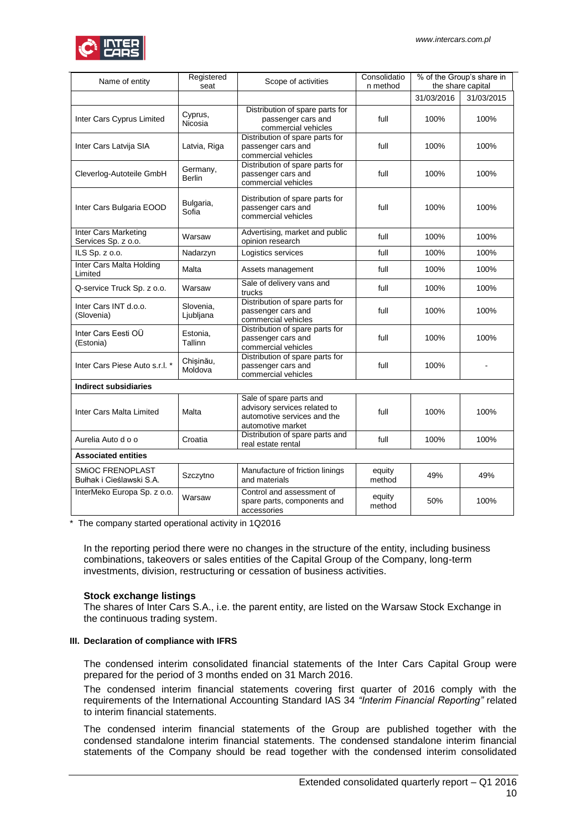

| Name of entity                                      | Registered<br>seat        | Scope of activities                                                                                         | Consolidatio<br>n method | % of the Group's share in<br>the share capital |            |
|-----------------------------------------------------|---------------------------|-------------------------------------------------------------------------------------------------------------|--------------------------|------------------------------------------------|------------|
|                                                     |                           |                                                                                                             |                          | 31/03/2016                                     | 31/03/2015 |
| Inter Cars Cyprus Limited                           | Cyprus,<br>Nicosia        | Distribution of spare parts for<br>passenger cars and<br>commercial vehicles                                | full                     | 100%                                           | 100%       |
| Inter Cars Latvija SIA                              | Latvia, Riga              | Distribution of spare parts for<br>passenger cars and<br>commercial vehicles                                | full                     | 100%                                           | 100%       |
| Cleverlog-Autoteile GmbH                            | Germany,<br><b>Berlin</b> | Distribution of spare parts for<br>passenger cars and<br>commercial vehicles                                | full                     | 100%                                           | 100%       |
| Inter Cars Bulgaria EOOD                            | Bulgaria,<br>Sofia        | Distribution of spare parts for<br>passenger cars and<br>commercial vehicles                                | full                     | 100%                                           | 100%       |
| Inter Cars Marketing<br>Services Sp. z o.o.         | Warsaw                    | Advertising, market and public<br>opinion research                                                          | full                     | 100%                                           | 100%       |
| ILS Sp. z o.o.                                      | Nadarzyn                  | Logistics services                                                                                          | full                     | 100%                                           | 100%       |
| <b>Inter Cars Malta Holding</b><br>Limited          | Malta                     | Assets management                                                                                           | full                     | 100%                                           | 100%       |
| Q-service Truck Sp. z o.o.                          | Warsaw                    | Sale of delivery vans and<br>trucks                                                                         | full                     | 100%                                           | 100%       |
| Inter Cars INT d.o.o.<br>(Slovenia)                 | Slovenia,<br>Ljubljana    | Distribution of spare parts for<br>passenger cars and<br>commercial vehicles                                | full                     | 100%                                           | 100%       |
| Inter Cars Eesti OÜ<br>(Estonia)                    | Estonia,<br>Tallinn       | Distribution of spare parts for<br>passenger cars and<br>commercial vehicles                                | full                     | 100%                                           | 100%       |
| Inter Cars Piese Auto s.r.l. *                      | Chisinău,<br>Moldova      | Distribution of spare parts for<br>passenger cars and<br>commercial vehicles                                | full                     | 100%                                           |            |
| <b>Indirect subsidiaries</b>                        |                           |                                                                                                             |                          |                                                |            |
| Inter Cars Malta Limited                            | Malta                     | Sale of spare parts and<br>advisory services related to<br>automotive services and the<br>automotive market | full                     | 100%                                           | 100%       |
| Aurelia Auto d o o                                  | Croatia                   | Distribution of spare parts and<br>real estate rental                                                       | full                     | 100%                                           | 100%       |
| <b>Associated entities</b>                          |                           |                                                                                                             |                          |                                                |            |
| <b>SMIOC FRENOPLAST</b><br>Bułhak i Cieślawski S.A. | Szczytno                  | Manufacture of friction linings<br>and materials                                                            | equity<br>method         | 49%                                            | 49%        |
| InterMeko Europa Sp. z o.o.                         | Warsaw                    | Control and assessment of<br>spare parts, components and<br>accessories                                     | equity<br>method         | 50%                                            | 100%       |

\* The company started operational activity in 1Q2016

In the reporting period there were no changes in the structure of the entity, including business combinations, takeovers or sales entities of the Capital Group of the Company, long-term investments, division, restructuring or cessation of business activities.

#### **Stock exchange listings**

The shares of Inter Cars S.A., i.e. the parent entity, are listed on the Warsaw Stock Exchange in the continuous trading system.

#### <span id="page-9-0"></span>**III. Declaration of compliance with IFRS**

The condensed interim consolidated financial statements of the Inter Cars Capital Group were prepared for the period of 3 months ended on 31 March 2016.

The condensed interim financial statements covering first quarter of 2016 comply with the requirements of the International Accounting Standard IAS 34 *"Interim Financial Reporting"* related to interim financial statements.

The condensed interim financial statements of the Group are published together with the condensed standalone interim financial statements. The condensed standalone interim financial statements of the Company should be read together with the condensed interim consolidated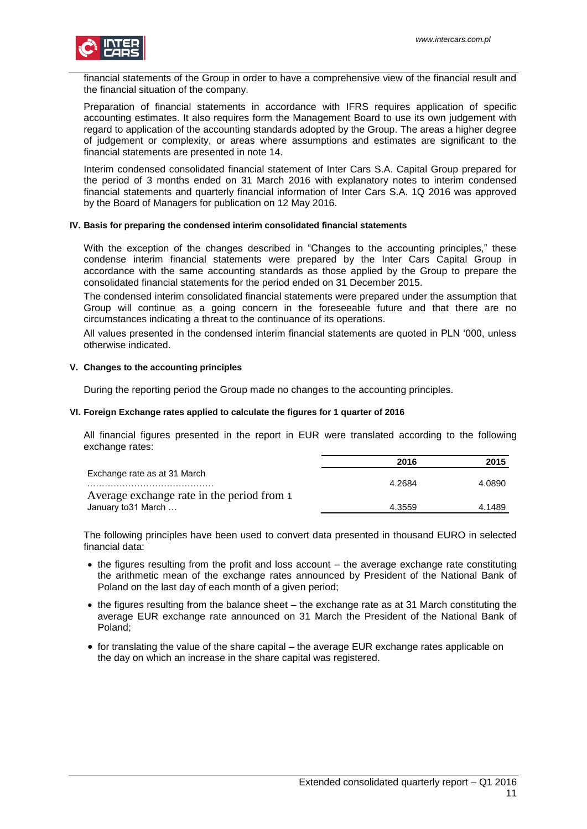

financial statements of the Group in order to have a comprehensive view of the financial result and the financial situation of the company.

Preparation of financial statements in accordance with IFRS requires application of specific accounting estimates. It also requires form the Management Board to use its own judgement with regard to application of the accounting standards adopted by the Group. The areas a higher degree of judgement or complexity, or areas where assumptions and estimates are significant to the financial statements are presented in note 14.

Interim condensed consolidated financial statement of Inter Cars S.A. Capital Group prepared for the period of 3 months ended on 31 March 2016 with explanatory notes to interim condensed financial statements and quarterly financial information of Inter Cars S.A. 1Q 2016 was approved by the Board of Managers for publication on 12 May 2016.

#### <span id="page-10-0"></span>**IV. Basis for preparing the condensed interim consolidated financial statements**

With the exception of the changes described in "Changes to the accounting principles," these condense interim financial statements were prepared by the Inter Cars Capital Group in accordance with the same accounting standards as those applied by the Group to prepare the consolidated financial statements for the period ended on 31 December 2015.

The condensed interim consolidated financial statements were prepared under the assumption that Group will continue as a going concern in the foreseeable future and that there are no circumstances indicating a threat to the continuance of its operations.

All values presented in the condensed interim financial statements are quoted in PLN '000, unless otherwise indicated.

#### <span id="page-10-1"></span>**V. Changes to the accounting principles**

During the reporting period the Group made no changes to the accounting principles.

#### <span id="page-10-2"></span>**VI. Foreign Exchange rates applied to calculate the figures for 1 quarter of 2016**

All financial figures presented in the report in EUR were translated according to the following exchange rates:

|                                            | 2016   | 2015   |
|--------------------------------------------|--------|--------|
| Exchange rate as at 31 March               |        |        |
|                                            | 4.2684 | 4.0890 |
| Average exchange rate in the period from 1 |        |        |
| January to 31 March                        | 4.3559 | 4.1489 |

The following principles have been used to convert data presented in thousand EURO in selected financial data:

- the figures resulting from the profit and loss account the average exchange rate constituting the arithmetic mean of the exchange rates announced by President of the National Bank of Poland on the last day of each month of a given period;
- the figures resulting from the balance sheet the exchange rate as at 31 March constituting the average EUR exchange rate announced on 31 March the President of the National Bank of Poland;
- $\bullet$  for translating the value of the share capital the average EUR exchange rates applicable on the day on which an increase in the share capital was registered.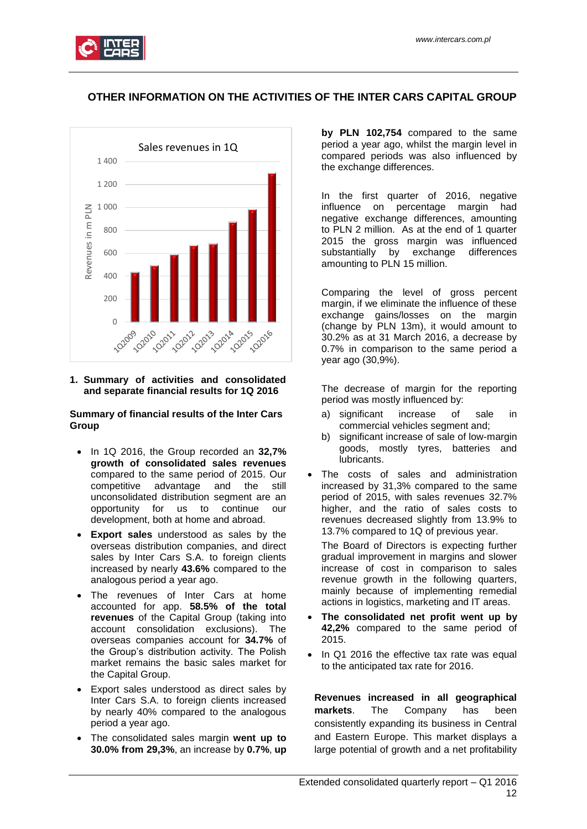

# **OTHER INFORMATION ON THE ACTIVITIES OF THE INTER CARS CAPITAL GROUP**



#### <span id="page-11-0"></span>**1. Summary of activities and consolidated and separate financial results for 1Q 2016**

## **Summary of financial results of the Inter Cars Group**

- In 1Q 2016, the Group recorded an **32,7% growth of consolidated sales revenues**  compared to the same period of 2015. Our competitive advantage and the still unconsolidated distribution segment are an opportunity for us to continue our development, both at home and abroad.
- **Export sales** understood as sales by the overseas distribution companies, and direct sales by Inter Cars S.A. to foreign clients increased by nearly **43.6%** compared to the analogous period a year ago.
- The revenues of Inter Cars at home accounted for app. **58.5% of the total revenues** of the Capital Group (taking into account consolidation exclusions). The overseas companies account for **34.7%** of the Group's distribution activity. The Polish market remains the basic sales market for the Capital Group.
- Export sales understood as direct sales by Inter Cars S.A. to foreign clients increased by nearly 40% compared to the analogous period a year ago.
- The consolidated sales margin **went up to 30.0% from 29,3%**, an increase by **0.7%**, **up**

**by PLN 102,754** compared to the same period a year ago, whilst the margin level in compared periods was also influenced by the exchange differences.

In the first quarter of 2016, negative influence on percentage margin had negative exchange differences, amounting to PLN 2 million. As at the end of 1 quarter 2015 the gross margin was influenced substantially by exchange differences amounting to PLN 15 million.

Comparing the level of gross percent margin, if we eliminate the influence of these exchange gains/losses on the margin (change by PLN 13m), it would amount to 30.2% as at 31 March 2016, a decrease by 0.7% in comparison to the same period a year ago (30,9%).

The decrease of margin for the reporting period was mostly influenced by:

- a) significant increase of sale in commercial vehicles segment and;
- b) significant increase of sale of low-margin goods, mostly tyres, batteries and lubricants.
- The costs of sales and administration increased by 31,3% compared to the same period of 2015, with sales revenues 32.7% higher, and the ratio of sales costs to revenues decreased slightly from 13.9% to 13.7% compared to 1Q of previous year.

The Board of Directors is expecting further gradual improvement in margins and slower increase of cost in comparison to sales revenue growth in the following quarters, mainly because of implementing remedial actions in logistics, marketing and IT areas.

- **The consolidated net profit went up by 42,2%** compared to the same period of 2015.
- In Q1 2016 the effective tax rate was equal to the anticipated tax rate for 2016.

**Revenues increased in all geographical markets**. The Company has been consistently expanding its business in Central and Eastern Europe. This market displays a large potential of growth and a net profitability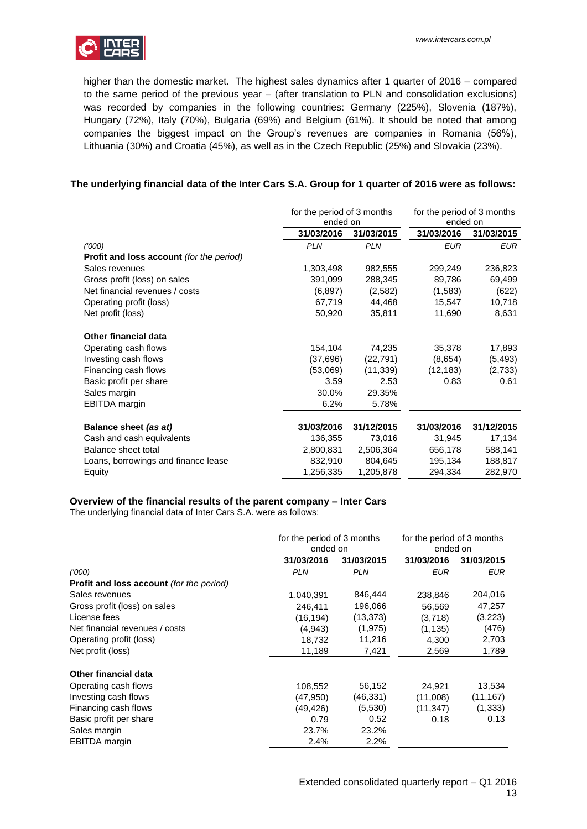

higher than the domestic market. The highest sales dynamics after 1 quarter of 2016 – compared to the same period of the previous year – (after translation to PLN and consolidation exclusions) was recorded by companies in the following countries: Germany (225%), Slovenia (187%), Hungary (72%), Italy (70%), Bulgaria (69%) and Belgium (61%). It should be noted that among companies the biggest impact on the Group's revenues are companies in Romania (56%), Lithuania (30%) and Croatia (45%), as well as in the Czech Republic (25%) and Slovakia (23%).

# **The underlying financial data of the Inter Cars S.A. Group for 1 quarter of 2016 were as follows:**

|                                          | for the period of 3 months<br>ended on |            | for the period of 3 months<br>ended on |            |
|------------------------------------------|----------------------------------------|------------|----------------------------------------|------------|
|                                          | 31/03/2016                             | 31/03/2015 | 31/03/2016                             | 31/03/2015 |
| (1000)                                   | <b>PLN</b>                             | <b>PLN</b> | <b>EUR</b>                             | <b>EUR</b> |
| Profit and loss account (for the period) |                                        |            |                                        |            |
| Sales revenues                           | 1,303,498                              | 982,555    | 299,249                                | 236,823    |
| Gross profit (loss) on sales             | 391,099                                | 288,345    | 89,786                                 | 69,499     |
| Net financial revenues / costs           | (6, 897)                               | (2,582)    | (1,583)                                | (622)      |
| Operating profit (loss)                  | 67,719                                 | 44,468     | 15,547                                 | 10,718     |
| Net profit (loss)                        | 50,920                                 | 35,811     | 11,690                                 | 8,631      |
|                                          |                                        |            |                                        |            |
| <b>Other financial data</b>              |                                        |            |                                        |            |
| Operating cash flows                     | 154,104                                | 74,235     | 35,378                                 | 17,893     |
| Investing cash flows                     | (37, 696)                              | (22, 791)  | (8,654)                                | (5, 493)   |
| Financing cash flows                     | (53,069)                               | (11, 339)  | (12, 183)                              | (2,733)    |
| Basic profit per share                   | 3.59                                   | 2.53       | 0.83                                   | 0.61       |
| Sales margin                             | 30.0%                                  | 29.35%     |                                        |            |
| EBITDA margin                            | 6.2%                                   | 5.78%      |                                        |            |
|                                          |                                        |            |                                        |            |
| Balance sheet (as at)                    | 31/03/2016                             | 31/12/2015 | 31/03/2016                             | 31/12/2015 |
| Cash and cash equivalents                | 136,355                                | 73,016     | 31,945                                 | 17,134     |
| Balance sheet total                      | 2,800,831                              | 2,506,364  | 656,178                                | 588,141    |
| Loans, borrowings and finance lease      | 832,910                                | 804,645    | 195,134                                | 188,817    |
| Equity                                   | 1,256,335                              | 1,205,878  | 294,334                                | 282,970    |

# **Overview of the financial results of the parent company – Inter Cars**

The underlying financial data of Inter Cars S.A. were as follows:

|                                                 | for the period of 3 months<br>ended on |            | for the period of 3 months<br>ended on |            |
|-------------------------------------------------|----------------------------------------|------------|----------------------------------------|------------|
|                                                 | 31/03/2016                             | 31/03/2015 | 31/03/2016                             | 31/03/2015 |
| (1000)                                          | <b>PLN</b>                             | <b>PLN</b> | <b>EUR</b>                             | EUR        |
| <b>Profit and loss account</b> (for the period) |                                        |            |                                        |            |
| Sales revenues                                  | 1,040,391                              | 846,444    | 238,846                                | 204,016    |
| Gross profit (loss) on sales                    | 246,411                                | 196,066    | 56,569                                 | 47,257     |
| License fees                                    | (16, 194)                              | (13, 373)  | (3,718)                                | (3,223)    |
| Net financial revenues / costs                  | (4, 943)                               | (1, 975)   | (1, 135)                               | (476)      |
| Operating profit (loss)                         | 18,732                                 | 11,216     | 4,300                                  | 2,703      |
| Net profit (loss)                               | 11,189                                 | 7,421      | 2,569                                  | 1,789      |
| <b>Other financial data</b>                     |                                        |            |                                        |            |
| Operating cash flows                            | 108,552                                | 56,152     | 24,921                                 | 13,534     |
| Investing cash flows                            | (47, 950)                              | (46,331)   | (11,008)                               | (11, 167)  |
| Financing cash flows                            | (49,426)                               | (5,530)    | (11, 347)                              | (1, 333)   |
| Basic profit per share                          | 0.79                                   | 0.52       | 0.18                                   | 0.13       |
| Sales margin                                    | 23.7%                                  | 23.2%      |                                        |            |
| <b>EBITDA</b> margin                            | 2.4%                                   | 2.2%       |                                        |            |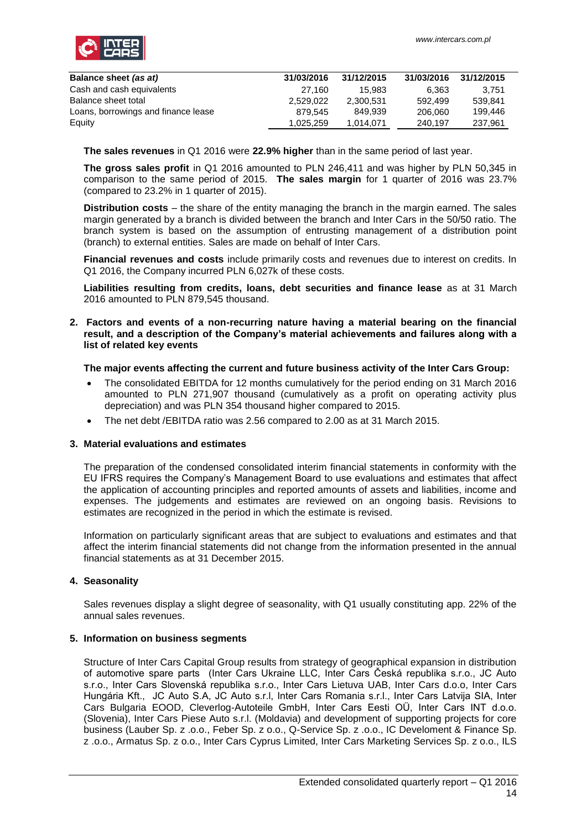

| Balance sheet (as at)               | 31/03/2016 | 31/12/2015 | 31/03/2016 | 31/12/2015 |
|-------------------------------------|------------|------------|------------|------------|
| Cash and cash equivalents           | 27.160     | 15.983     | 6.363      | 3.751      |
| Balance sheet total                 | 2.529.022  | 2.300.531  | 592.499    | 539.841    |
| Loans, borrowings and finance lease | 879.545    | 849.939    | 206.060    | 199.446    |
| Equity                              | 1.025.259  | 1.014.071  | 240.197    | 237.961    |

**The sales revenues** in Q1 2016 were **22.9% higher** than in the same period of last year.

**The gross sales profit** in Q1 2016 amounted to PLN 246,411 and was higher by PLN 50,345 in comparison to the same period of 2015. **The sales margin** for 1 quarter of 2016 was 23.7% (compared to 23.2% in 1 quarter of 2015).

**Distribution costs** – the share of the entity managing the branch in the margin earned. The sales margin generated by a branch is divided between the branch and Inter Cars in the 50/50 ratio. The branch system is based on the assumption of entrusting management of a distribution point (branch) to external entities. Sales are made on behalf of Inter Cars.

**Financial revenues and costs** include primarily costs and revenues due to interest on credits. In Q1 2016, the Company incurred PLN 6,027k of these costs.

**Liabilities resulting from credits, loans, debt securities and finance lease** as at 31 March 2016 amounted to PLN 879,545 thousand.

## <span id="page-13-0"></span>**2. Factors and events of a non-recurring nature having a material bearing on the financial result, and a description of the Company's material achievements and failures along with a list of related key events**

# **The major events affecting the current and future business activity of the Inter Cars Group:**

- The consolidated EBITDA for 12 months cumulatively for the period ending on 31 March 2016 amounted to PLN 271,907 thousand (cumulatively as a profit on operating activity plus depreciation) and was PLN 354 thousand higher compared to 2015.
- The net debt /EBITDA ratio was 2.56 compared to 2.00 as at 31 March 2015.

#### <span id="page-13-1"></span>**3. Material evaluations and estimates**

The preparation of the condensed consolidated interim financial statements in conformity with the EU IFRS requires the Company's Management Board to use evaluations and estimates that affect the application of accounting principles and reported amounts of assets and liabilities, income and expenses. The judgements and estimates are reviewed on an ongoing basis. Revisions to estimates are recognized in the period in which the estimate is revised.

Information on particularly significant areas that are subject to evaluations and estimates and that affect the interim financial statements did not change from the information presented in the annual financial statements as at 31 December 2015.

# <span id="page-13-2"></span>**4. Seasonality**

Sales revenues display a slight degree of seasonality, with Q1 usually constituting app. 22% of the annual sales revenues.

# <span id="page-13-3"></span>**5. Information on business segments**

Structure of Inter Cars Capital Group results from strategy of geographical expansion in distribution of automotive spare parts (Inter Cars Ukraine LLC, Inter Cars Česká republika s.r.o., JC Auto s.r.o., Inter Cars Slovenská republika s.r.o., Inter Cars Lietuva UAB, Inter Cars d.o.o, Inter Cars Hungária Kft., JC Auto S.A, JC Auto s.r.l, Inter Cars Romania s.r.l., Inter Cars Latvija SIA, Inter Cars Bulgaria EOOD, Cleverlog-Autoteile GmbH, Inter Cars Eesti OÜ, Inter Cars INT d.o.o. (Slovenia), Inter Cars Piese Auto s.r.l. (Moldavia) and development of supporting projects for core business (Lauber Sp. z .o.o., Feber Sp. z o.o., Q-Service Sp. z .o.o., IC Develoment & Finance Sp. z .o.o., Armatus Sp. z o.o., Inter Cars Cyprus Limited, Inter Cars Marketing Services Sp. z o.o., ILS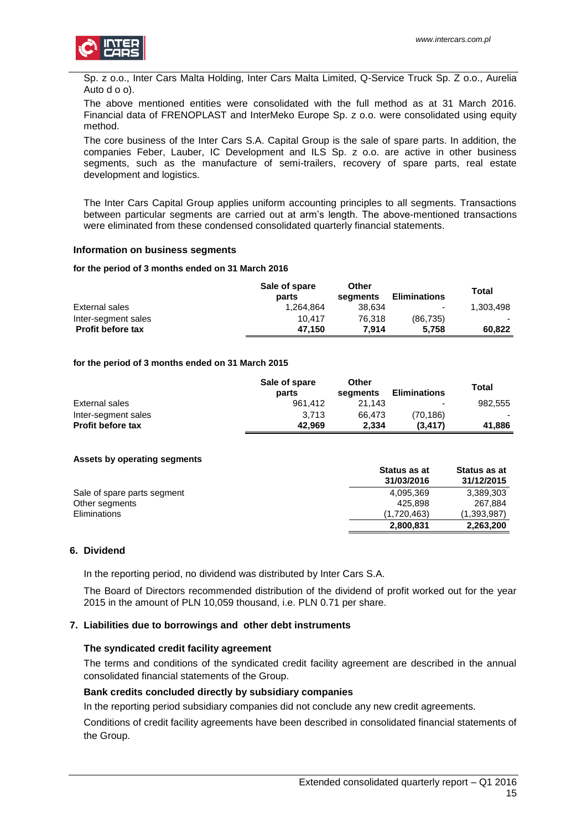

Sp. z o.o., Inter Cars Malta Holding, Inter Cars Malta Limited, Q-Service Truck Sp. Z o.o., Aurelia Auto d o o).

The above mentioned entities were consolidated with the full method as at 31 March 2016. Financial data of FRENOPLAST and InterMeko Europe Sp. z o.o. were consolidated using equity method.

The core business of the Inter Cars S.A. Capital Group is the sale of spare parts. In addition, the companies Feber, Lauber, IC Development and ILS Sp. z o.o. are active in other business segments, such as the manufacture of semi-trailers, recovery of spare parts, real estate development and logistics.

The Inter Cars Capital Group applies uniform accounting principles to all segments. Transactions between particular segments are carried out at arm's length. The above-mentioned transactions were eliminated from these condensed consolidated quarterly financial statements.

#### **Information on business segments**

#### **for the period of 3 months ended on 31 March 2016**

|                          | Sale of spare<br>parts | Other<br>seaments | <b>Eliminations</b> | Total     |
|--------------------------|------------------------|-------------------|---------------------|-----------|
| External sales           | 1.264.864              | 38.634            | $\sim$              | 1.303.498 |
| Inter-segment sales      | 10.417                 | 76.318            | (86.735)            |           |
| <b>Profit before tax</b> | 47.150                 | 7.914             | 5.758               | 60.822    |

#### **for the period of 3 months ended on 31 March 2015**

|                          | Sale of spare<br>parts | Other<br>seaments | <b>Eliminations</b> | Total   |
|--------------------------|------------------------|-------------------|---------------------|---------|
| External sales           | 961.412                | 21.143            | -                   | 982.555 |
| Inter-segment sales      | 3.713                  | 66.473            | (70.186)            |         |
| <b>Profit before tax</b> | 42.969                 | 2.334             | (3.417)             | 41.886  |

#### **Assets by operating segments**

|                             | <b>Status as at</b><br>31/03/2016 | Status as at<br>31/12/2015 |
|-----------------------------|-----------------------------------|----------------------------|
| Sale of spare parts segment | 4.095.369                         | 3.389.303                  |
| Other segments              | 425.898                           | 267.884                    |
| Eliminations                | (1.720.463)                       | (1,393,987)                |
|                             | 2,800,831                         | 2,263,200                  |

## <span id="page-14-0"></span>**6. Dividend**

In the reporting period, no dividend was distributed by Inter Cars S.A.

The Board of Directors recommended distribution of the dividend of profit worked out for the year 2015 in the amount of PLN 10,059 thousand, i.e. PLN 0.71 per share.

#### <span id="page-14-1"></span>**7. Liabilities due to borrowings and other debt instruments**

#### **The syndicated credit facility agreement**

The terms and conditions of the syndicated credit facility agreement are described in the annual consolidated financial statements of the Group.

#### **Bank credits concluded directly by subsidiary companies**

In the reporting period subsidiary companies did not conclude any new credit agreements.

Conditions of credit facility agreements have been described in consolidated financial statements of the Group.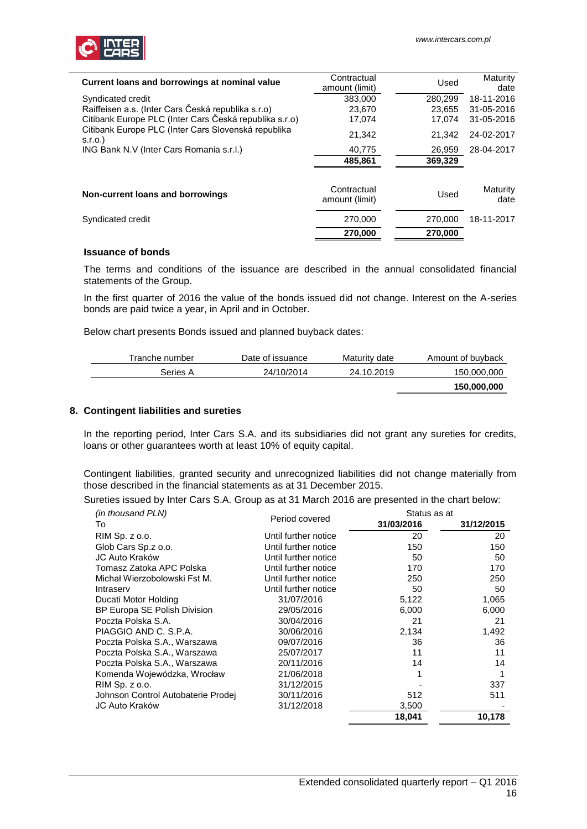

| Current loans and borrowings at nominal value                 | Contractual<br>amount (limit) | Used    | Maturity<br>date |
|---------------------------------------------------------------|-------------------------------|---------|------------------|
| Syndicated credit                                             | 383,000                       | 280,299 | 18-11-2016       |
| Raiffeisen a.s. (Inter Cars Česká republika s.r.o)            | 23,670                        | 23.655  | 31-05-2016       |
| Citibank Europe PLC (Inter Cars Česká republika s.r.o)        | 17.074                        | 17.074  | 31-05-2016       |
| Citibank Europe PLC (Inter Cars Slovenská republika<br>S.I.O. | 21,342                        | 21.342  | 24-02-2017       |
| ING Bank N.V (Inter Cars Romania s.r.l.)                      | 40,775                        | 26,959  | 28-04-2017       |
|                                                               | 485,861                       | 369,329 |                  |
|                                                               |                               |         |                  |
| Non-current loans and borrowings                              | Contractual<br>amount (limit) | Used    | Maturity<br>date |
| Syndicated credit                                             | 270,000                       | 270,000 | 18-11-2017       |
|                                                               | 270.000                       | 270.000 |                  |

## **Issuance of bonds**

The terms and conditions of the issuance are described in the annual consolidated financial statements of the Group.

In the first quarter of 2016 the value of the bonds issued did not change. Interest on the A-series bonds are paid twice a year, in April and in October.

Below chart presents Bonds issued and planned buyback dates:

| Tranche number | Date of issuance | Maturity date | Amount of buyback |
|----------------|------------------|---------------|-------------------|
| Series A       | 24/10/2014       | 24.10.2019    | 150,000,000       |
|                |                  |               | 150,000,000       |

# <span id="page-15-0"></span>**8. Contingent liabilities and sureties**

In the reporting period, Inter Cars S.A. and its subsidiaries did not grant any sureties for credits, loans or other guarantees worth at least 10% of equity capital.

Contingent liabilities, granted security and unrecognized liabilities did not change materially from those described in the financial statements as at 31 December 2015.

Sureties issued by Inter Cars S.A. Group as at 31 March 2016 are presented in the chart below:

| (in thousand PLN)                  |                      | Status as at |            |  |  |
|------------------------------------|----------------------|--------------|------------|--|--|
| To                                 | Period covered       | 31/03/2016   | 31/12/2015 |  |  |
| RIM Sp. z o.o.                     | Until further notice | 20           | 20         |  |  |
| Glob Cars Sp.z o.o.                | Until further notice | 150          | 150        |  |  |
| JC Auto Kraków                     | Until further notice | 50           | 50         |  |  |
| Tomasz Zatoka APC Polska           | Until further notice | 170          | 170        |  |  |
| Michał Wierzobolowski Fst M.       | Until further notice | 250          | 250        |  |  |
| Intraserv                          | Until further notice | 50           | 50         |  |  |
| Ducati Motor Holding               | 31/07/2016           | 5,122        | 1,065      |  |  |
| BP Europa SE Polish Division       | 29/05/2016           | 6,000        | 6,000      |  |  |
| Poczta Polska S.A.                 | 30/04/2016           | 21           | 21         |  |  |
| PIAGGIO AND C. S.P.A.              | 30/06/2016           | 2,134        | 1,492      |  |  |
| Poczta Polska S.A., Warszawa       | 09/07/2016           | 36           | 36         |  |  |
| Poczta Polska S.A., Warszawa       | 25/07/2017           | 11           | 11         |  |  |
| Poczta Polska S.A., Warszawa       | 20/11/2016           | 14           | 14         |  |  |
| Komenda Wojewódzka, Wrocław        | 21/06/2018           | 1            |            |  |  |
| RIM Sp. z o.o.                     | 31/12/2015           |              | 337        |  |  |
| Johnson Control Autobaterie Prodej | 30/11/2016           | 512          | 511        |  |  |
| JC Auto Kraków                     | 31/12/2018           | 3,500        |            |  |  |
|                                    |                      | 18,041       | 10,178     |  |  |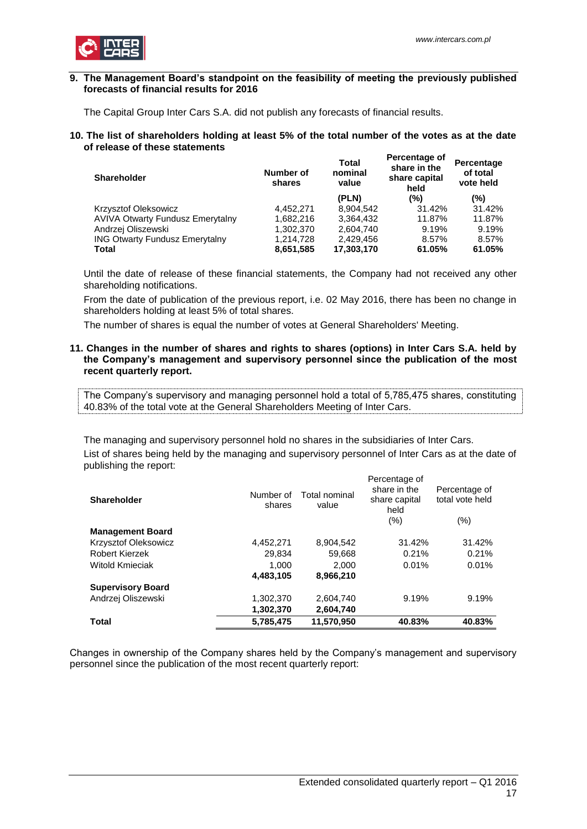

## <span id="page-16-0"></span>**9. The Management Board's standpoint on the feasibility of meeting the previously published forecasts of financial results for 2016**

<span id="page-16-1"></span>The Capital Group Inter Cars S.A. did not publish any forecasts of financial results.

#### **10. The list of shareholders holding at least 5% of the total number of the votes as at the date of release of these statements Percentage of**

| <b>Shareholder</b>                      | Number of<br>shares | Total<br>nominal<br>value | ו סוטסוונטשט טו<br>share in the<br>share capital<br>held | Percentage<br>of total<br>vote held |
|-----------------------------------------|---------------------|---------------------------|----------------------------------------------------------|-------------------------------------|
|                                         |                     | (PLN)                     | (%)                                                      | (%)                                 |
| <b>Krzysztof Oleksowicz</b>             | 4.452.271           | 8.904.542                 | 31.42%                                                   | 31.42%                              |
| <b>AVIVA Otwarty Fundusz Emerytalny</b> | 1.682.216           | 3.364.432                 | 11.87%                                                   | 11.87%                              |
| Andrzej Oliszewski                      | 1,302,370           | 2,604,740                 | 9.19%                                                    | 9.19%                               |
| <b>ING Otwarty Fundusz Emerytalny</b>   | 1,214,728           | 2.429.456                 | 8.57%                                                    | 8.57%                               |
| <b>Total</b>                            | 8,651,585           | 17,303,170                | 61.05%                                                   | 61.05%                              |

Until the date of release of these financial statements, the Company had not received any other shareholding notifications.

From the date of publication of the previous report, i.e. 02 May 2016, there has been no change in shareholders holding at least 5% of total shares.

<span id="page-16-2"></span>The number of shares is equal the number of votes at General Shareholders' Meeting.

## **11. Changes in the number of shares and rights to shares (options) in Inter Cars S.A. held by the Company's management and supervisory personnel since the publication of the most recent quarterly report.**

The Company's supervisory and managing personnel hold a total of 5,785,475 shares, constituting 40.83% of the total vote at the General Shareholders Meeting of Inter Cars.

The managing and supervisory personnel hold no shares in the subsidiaries of Inter Cars. List of shares being held by the managing and supervisory personnel of Inter Cars as at the date of publishing the report:

| <b>Shareholder</b>       | Number of<br>shares | Total nominal<br>value | Percentage of<br>share in the<br>share capital<br>held | Percentage of<br>total vote held |
|--------------------------|---------------------|------------------------|--------------------------------------------------------|----------------------------------|
| <b>Management Board</b>  |                     |                        | (%)                                                    | $(\% )$                          |
|                          |                     |                        |                                                        |                                  |
| Krzysztof Oleksowicz     | 4,452,271           | 8,904,542              | 31.42%                                                 | 31.42%                           |
| Robert Kierzek           | 29,834              | 59,668                 | 0.21%                                                  | 0.21%                            |
| <b>Witold Kmieciak</b>   | 1.000               | 2.000                  | 0.01%                                                  | 0.01%                            |
|                          | 4,483,105           | 8,966,210              |                                                        |                                  |
| <b>Supervisory Board</b> |                     |                        |                                                        |                                  |
| Andrzej Oliszewski       | 1,302,370           | 2,604,740              | 9.19%                                                  | 9.19%                            |
|                          | 1,302,370           | 2,604,740              |                                                        |                                  |
| Total                    | 5,785,475           | 11,570,950             | 40.83%                                                 | 40.83%                           |

Changes in ownership of the Company shares held by the Company's management and supervisory personnel since the publication of the most recent quarterly report: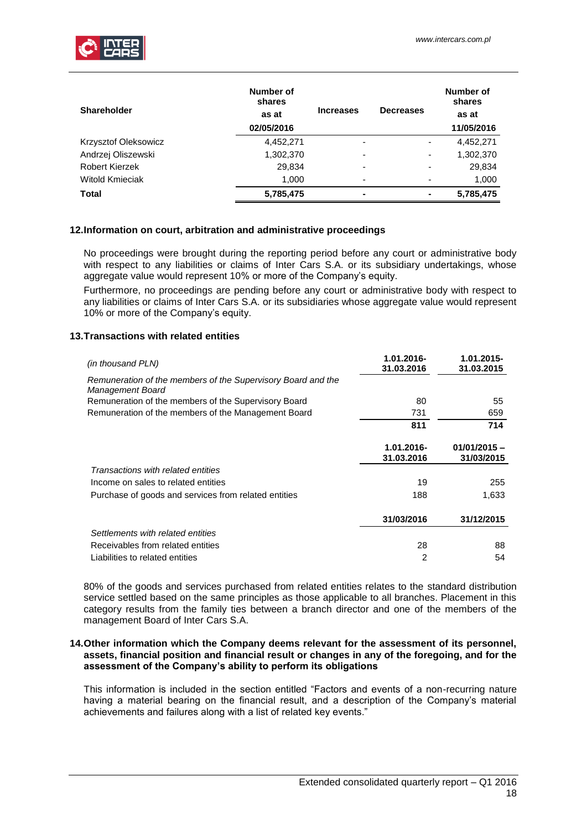

| <b>Shareholder</b>    | Number of<br>shares<br>as at<br>02/05/2016 | <b>Increases</b> | <b>Decreases</b> | Number of<br>shares<br>as at<br>11/05/2016 |
|-----------------------|--------------------------------------------|------------------|------------------|--------------------------------------------|
| Krzysztof Oleksowicz  | 4,452,271                                  | -                | ٠                | 4,452,271                                  |
| Andrzej Oliszewski    | 1,302,370                                  |                  | ٠                | 1,302,370                                  |
| <b>Robert Kierzek</b> | 29,834                                     |                  | -                | 29,834                                     |
| Witold Kmieciak       | 1,000                                      | -                |                  | 1,000                                      |
| <b>Total</b>          | 5,785,475                                  | -                | -                | 5,785,475                                  |

# <span id="page-17-0"></span>**12.Information on court, arbitration and administrative proceedings**

No proceedings were brought during the reporting period before any court or administrative body with respect to any liabilities or claims of Inter Cars S.A. or its subsidiary undertakings, whose aggregate value would represent 10% or more of the Company's equity.

Furthermore, no proceedings are pending before any court or administrative body with respect to any liabilities or claims of Inter Cars S.A. or its subsidiaries whose aggregate value would represent 10% or more of the Company's equity.

# <span id="page-17-1"></span>**13.Transactions with related entities**

| (in thousand PLN)                                                                | 1.01.2016-<br>31.03.2016 | 1.01.2015-<br>31.03.2015     |
|----------------------------------------------------------------------------------|--------------------------|------------------------------|
| Remuneration of the members of the Supervisory Board and the<br>Management Board |                          |                              |
| Remuneration of the members of the Supervisory Board                             | 80                       | 55                           |
| Remuneration of the members of the Management Board                              | 731                      | 659                          |
|                                                                                  | 811                      | 714                          |
|                                                                                  | 1.01.2016-<br>31.03.2016 | $01/01/2015 -$<br>31/03/2015 |
| Transactions with related entities                                               |                          |                              |
| Income on sales to related entities                                              | 19                       | 255                          |
| Purchase of goods and services from related entities                             | 188                      | 1,633                        |
|                                                                                  | 31/03/2016               | 31/12/2015                   |
| Settlements with related entities                                                |                          |                              |
| Receivables from related entities                                                | 28                       | 88                           |
| Liabilities to related entities                                                  | 2                        | 54                           |

80% of the goods and services purchased from related entities relates to the standard distribution service settled based on the same principles as those applicable to all branches. Placement in this category results from the family ties between a branch director and one of the members of the management Board of Inter Cars S.A.

## <span id="page-17-2"></span>**14.Other information which the Company deems relevant for the assessment of its personnel, assets, financial position and financial result or changes in any of the foregoing, and for the assessment of the Company's ability to perform its obligations**

This information is included in the section entitled "Factors and events of a non-recurring nature having a material bearing on the financial result, and a description of the Company's material achievements and failures along with a list of related key events."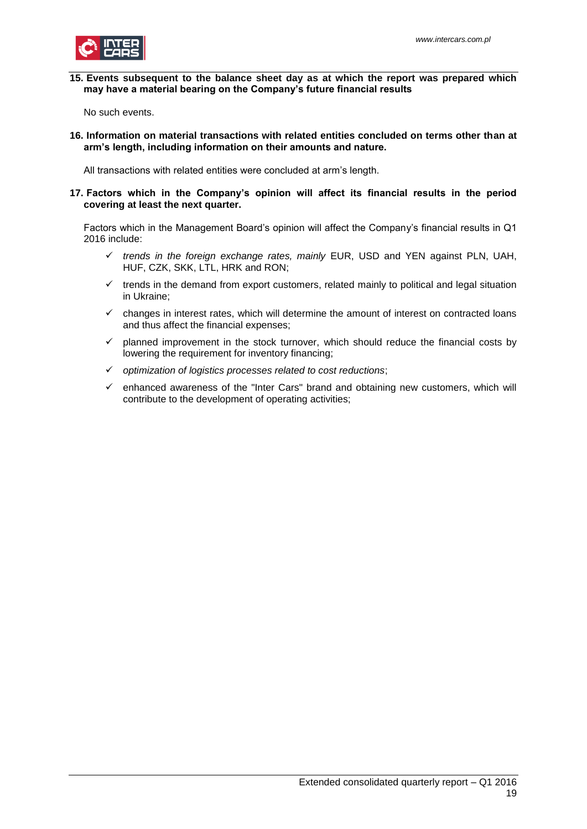

## <span id="page-18-0"></span>**15. Events subsequent to the balance sheet day as at which the report was prepared which may have a material bearing on the Company's future financial results**

<span id="page-18-1"></span>No such events.

**16. Information on material transactions with related entities concluded on terms other than at arm's length, including information on their amounts and nature.**

<span id="page-18-2"></span>All transactions with related entities were concluded at arm's length.

# **17. Factors which in the Company's opinion will affect its financial results in the period covering at least the next quarter.**

Factors which in the Management Board's opinion will affect the Company's financial results in Q1 2016 include:

- *trends in the foreign exchange rates, mainly* EUR, USD and YEN against PLN, UAH, HUF, CZK, SKK, LTL, HRK and RON;
- $\checkmark$  trends in the demand from export customers, related mainly to political and legal situation in Ukraine;
- $\checkmark$  changes in interest rates, which will determine the amount of interest on contracted loans and thus affect the financial expenses;
- $\checkmark$  planned improvement in the stock turnover, which should reduce the financial costs by lowering the requirement for inventory financing;
- *optimization of logistics processes related to cost reductions*;
- enhanced awareness of the "Inter Cars" brand and obtaining new customers, which will contribute to the development of operating activities;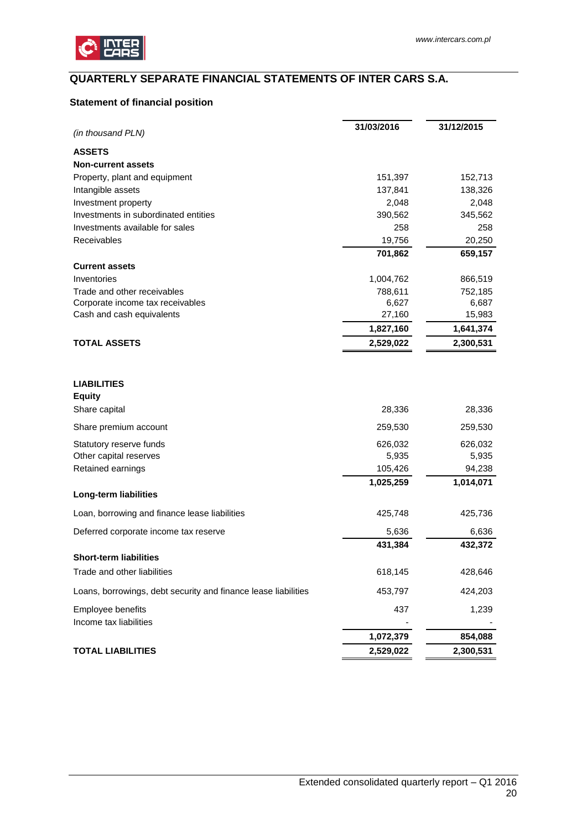

# <span id="page-19-0"></span>**QUARTERLY SEPARATE FINANCIAL STATEMENTS OF INTER CARS S.A.**

# <span id="page-19-1"></span>**Statement of financial position**

|                                                                | 31/03/2016 | 31/12/2015 |
|----------------------------------------------------------------|------------|------------|
| (in thousand PLN)                                              |            |            |
| <b>ASSETS</b>                                                  |            |            |
| <b>Non-current assets</b>                                      |            |            |
| Property, plant and equipment                                  | 151,397    | 152,713    |
| Intangible assets                                              | 137,841    | 138,326    |
| Investment property                                            | 2,048      | 2,048      |
| Investments in subordinated entities                           | 390,562    | 345,562    |
| Investments available for sales                                | 258        | 258        |
| Receivables                                                    | 19,756     | 20,250     |
|                                                                | 701,862    | 659,157    |
| <b>Current assets</b>                                          |            |            |
| Inventories                                                    | 1,004,762  | 866,519    |
| Trade and other receivables                                    | 788,611    | 752,185    |
| Corporate income tax receivables                               | 6,627      | 6,687      |
| Cash and cash equivalents                                      | 27,160     | 15,983     |
|                                                                | 1,827,160  | 1,641,374  |
| <b>TOTAL ASSETS</b>                                            | 2,529,022  | 2,300,531  |
| <b>LIABILITIES</b><br><b>Equity</b>                            |            |            |
| Share capital                                                  | 28,336     | 28,336     |
| Share premium account                                          | 259,530    | 259,530    |
| Statutory reserve funds                                        | 626,032    | 626,032    |
| Other capital reserves                                         | 5,935      | 5,935      |
| Retained earnings                                              | 105,426    | 94,238     |
|                                                                | 1,025,259  | 1,014,071  |
| Long-term liabilities                                          |            |            |
| Loan, borrowing and finance lease liabilities                  | 425,748    | 425,736    |
| Deferred corporate income tax reserve                          | 5,636      | 6,636      |
| <b>Short-term liabilities</b>                                  | 431,384    | 432,372    |
|                                                                |            | 428,646    |
| Trade and other liabilities                                    | 618,145    |            |
| Loans, borrowings, debt security and finance lease liabilities | 453,797    | 424,203    |
| Employee benefits<br>Income tax liabilities                    | 437        | 1,239      |
|                                                                | 1,072,379  | 854,088    |
| <b>TOTAL LIABILITIES</b>                                       | 2,529,022  | 2,300,531  |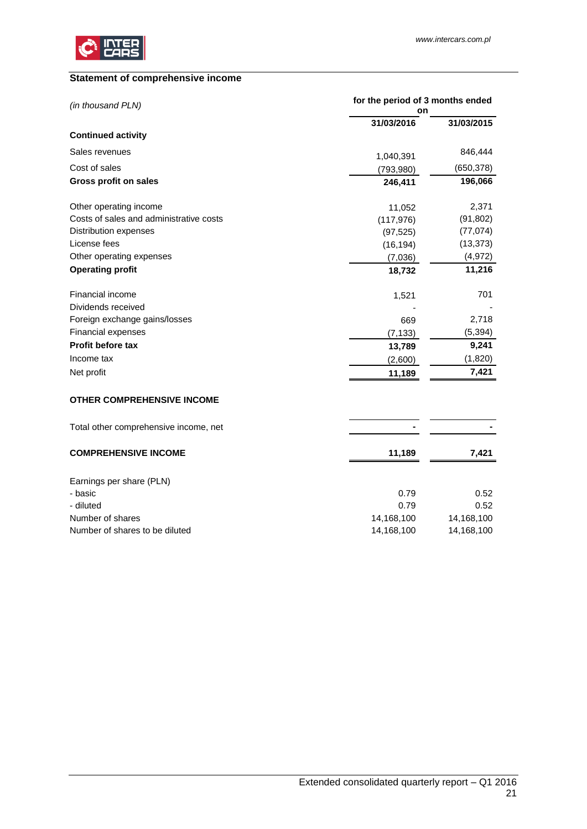

# <span id="page-20-0"></span>**Statement of comprehensive income**

| (in thousand PLN)                       | for the period of 3 months ended |            |  |
|-----------------------------------------|----------------------------------|------------|--|
|                                         | on                               |            |  |
| <b>Continued activity</b>               | 31/03/2016                       | 31/03/2015 |  |
| Sales revenues                          |                                  | 846,444    |  |
| Cost of sales                           | 1,040,391<br>(793,980)           | (650, 378) |  |
| Gross profit on sales                   | 246,411                          | 196,066    |  |
|                                         |                                  |            |  |
| Other operating income                  | 11,052                           | 2,371      |  |
| Costs of sales and administrative costs | (117, 976)                       | (91, 802)  |  |
| Distribution expenses                   | (97, 525)                        | (77, 074)  |  |
| License fees                            | (16, 194)                        | (13, 373)  |  |
| Other operating expenses                | (7,036)                          | (4, 972)   |  |
| <b>Operating profit</b>                 | 18,732                           | 11,216     |  |
| <b>Financial income</b>                 | 1,521                            | 701        |  |
| Dividends received                      |                                  |            |  |
| Foreign exchange gains/losses           | 669                              | 2,718      |  |
| Financial expenses                      | (7, 133)                         | (5, 394)   |  |
| Profit before tax                       | 13,789                           | 9,241      |  |
| Income tax                              | (2,600)                          | (1,820)    |  |
| Net profit                              | 11,189                           | 7,421      |  |
| <b>OTHER COMPREHENSIVE INCOME</b>       |                                  |            |  |
| Total other comprehensive income, net   |                                  |            |  |
| <b>COMPREHENSIVE INCOME</b>             | 11,189                           | 7,421      |  |
| Earnings per share (PLN)                |                                  |            |  |
| - basic                                 | 0.79                             | 0.52       |  |
| - diluted                               | 0.79                             | 0.52       |  |
| Number of shares                        | 14,168,100                       | 14,168,100 |  |
| Number of shares to be diluted          | 14,168,100                       | 14,168,100 |  |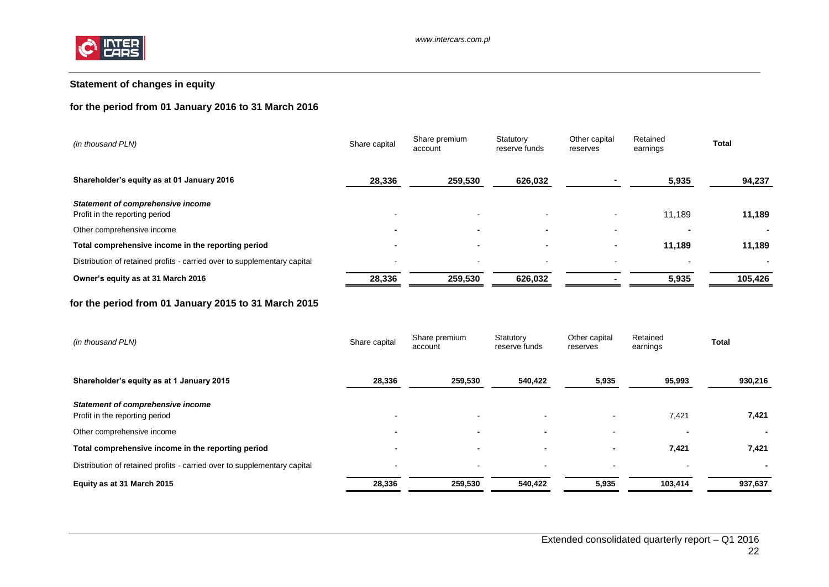

# **Statement of changes in equity**

# **for the period from 01 January 2016 to 31 March 2016**

| (in thousand PLN)                                                        | Share capital            | Share premium<br>account | Statutory<br>reserve funds | Other capital<br>reserves | Retained<br>earnings | Total   |
|--------------------------------------------------------------------------|--------------------------|--------------------------|----------------------------|---------------------------|----------------------|---------|
| Shareholder's equity as at 01 January 2016                               | 28,336                   | 259,530                  | 626,032                    |                           | 5,935                | 94,237  |
| Statement of comprehensive income<br>Profit in the reporting period      | $\sim$                   | $\,$ $\,$                |                            |                           | 11,189               | 11,189  |
| Other comprehensive income                                               | $\overline{\phantom{0}}$ |                          | $\overline{\phantom{0}}$   |                           |                      |         |
| Total comprehensive income in the reporting period                       |                          | $\blacksquare$           |                            |                           | 11,189               | 11,189  |
| Distribution of retained profits - carried over to supplementary capital | $\sim$                   | $\overline{\phantom{0}}$ | $\blacksquare$             | $\sim$                    | -                    |         |
| Owner's equity as at 31 March 2016                                       | 28,336                   | 259,530                  | 626,032                    |                           | 5,935                | 105,426 |

# **for the period from 01 January 2015 to 31 March 2015**

<span id="page-21-0"></span>

| (in thousand PLN)                                                        | Share capital            | Share premium<br>account | Statutory<br>reserve funds | Other capital<br>reserves | Retained<br>earnings | Total   |
|--------------------------------------------------------------------------|--------------------------|--------------------------|----------------------------|---------------------------|----------------------|---------|
| Shareholder's equity as at 1 January 2015                                | 28,336                   | 259,530                  | 540,422                    | 5,935                     | 95,993               | 930,216 |
| Statement of comprehensive income<br>Profit in the reporting period      | $\sim$                   | $\overline{\phantom{0}}$ | $\sim$                     |                           | 7,421                | 7,421   |
| Other comprehensive income                                               | $\overline{\phantom{0}}$ |                          | $\blacksquare$             |                           |                      |         |
| Total comprehensive income in the reporting period                       | -                        | $\blacksquare$           | $\blacksquare$             |                           | 7,421                | 7,421   |
| Distribution of retained profits - carried over to supplementary capital | $\overline{\phantom{a}}$ | $\overline{\phantom{a}}$ | $\sim$                     |                           |                      |         |
| Equity as at 31 March 2015                                               | 28,336                   | 259,530                  | 540,422                    | 5,935                     | 103,414              | 937,637 |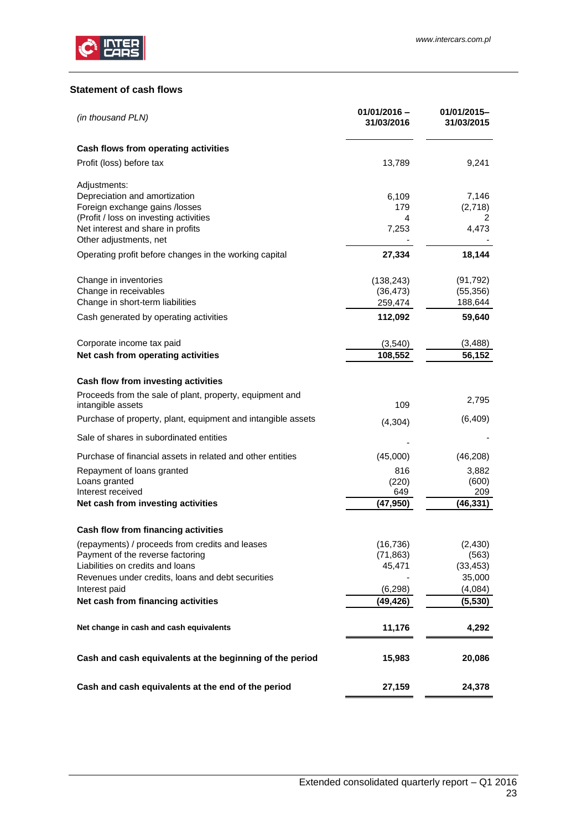

# <span id="page-22-0"></span>**Statement of cash flows**

| (in thousand PLN)                                                             | $01/01/2016 -$<br>31/03/2016 | 01/01/2015-<br>31/03/2015 |
|-------------------------------------------------------------------------------|------------------------------|---------------------------|
| Cash flows from operating activities                                          |                              |                           |
| Profit (loss) before tax                                                      | 13,789                       | 9,241                     |
| Adjustments:                                                                  |                              |                           |
| Depreciation and amortization<br>Foreign exchange gains /losses               | 6,109<br>179                 | 7,146<br>(2,718)          |
| (Profit / loss on investing activities                                        | 4                            | 2                         |
| Net interest and share in profits<br>Other adjustments, net                   | 7,253                        | 4,473                     |
| Operating profit before changes in the working capital                        | 27,334                       | 18,144                    |
| Change in inventories                                                         | (138, 243)                   | (91, 792)                 |
| Change in receivables<br>Change in short-term liabilities                     | (36, 473)<br>259,474         | (55, 356)<br>188,644      |
| Cash generated by operating activities                                        | 112,092                      | 59,640                    |
|                                                                               |                              |                           |
| Corporate income tax paid<br>Net cash from operating activities               | (3, 540)<br>108,552          | (3, 488)<br>56,152        |
|                                                                               |                              |                           |
| Cash flow from investing activities                                           |                              |                           |
| Proceeds from the sale of plant, property, equipment and<br>intangible assets | 109                          | 2,795                     |
| Purchase of property, plant, equipment and intangible assets                  | (4, 304)                     | (6, 409)                  |
| Sale of shares in subordinated entities                                       |                              |                           |
| Purchase of financial assets in related and other entities                    | (45,000)                     | (46, 208)                 |
| Repayment of loans granted                                                    | 816                          | 3,882                     |
| Loans granted<br>Interest received                                            | (220)<br>649                 | (600)<br>209              |
| Net cash from investing activities                                            | (47, 950)                    | (46, 331)                 |
| Cash flow from financing activities                                           |                              |                           |
| (repayments) / proceeds from credits and leases                               | (16, 736)                    | (2, 430)                  |
| Payment of the reverse factoring<br>Liabilities on credits and loans          | (71, 863)                    | (563)                     |
| Revenues under credits, loans and debt securities                             | 45,471                       | (33, 453)<br>35,000       |
| Interest paid                                                                 | (6, 298)                     | (4,084)                   |
| Net cash from financing activities                                            | (49,426)                     | (5, 530)                  |
| Net change in cash and cash equivalents                                       | 11,176                       | 4,292                     |
| Cash and cash equivalents at the beginning of the period                      | 15,983                       | 20,086                    |
| Cash and cash equivalents at the end of the period                            | 27,159                       | 24,378                    |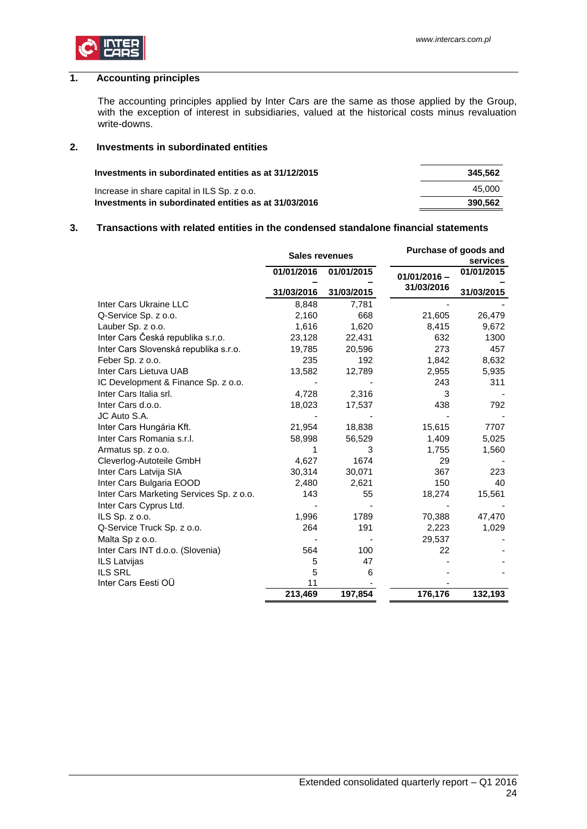

# <span id="page-23-0"></span>**1. Accounting principles**

The accounting principles applied by Inter Cars are the same as those applied by the Group, with the exception of interest in subsidiaries, valued at the historical costs minus revaluation write-downs.

#### <span id="page-23-1"></span>**2. Investments in subordinated entities**

| Investments in subordinated entities as at 31/12/2015 | 345.562 |
|-------------------------------------------------------|---------|
| Increase in share capital in ILS Sp. z o.o.           | 45.000  |
| Investments in subordinated entities as at 31/03/2016 | 390.562 |

## <span id="page-23-2"></span>**3. Transactions with related entities in the condensed standalone financial statements**

|                                          | <b>Sales revenues</b> |            |                | Purchase of goods and<br>services |
|------------------------------------------|-----------------------|------------|----------------|-----------------------------------|
|                                          | 01/01/2016            | 01/01/2015 | $01/01/2016 -$ | 01/01/2015                        |
|                                          | 31/03/2016            | 31/03/2015 | 31/03/2016     | 31/03/2015                        |
| Inter Cars Ukraine LLC                   | 8,848                 | 7,781      |                |                                   |
| Q-Service Sp. z o.o.                     | 2,160                 | 668        | 21,605         | 26,479                            |
| Lauber Sp. z o.o.                        | 1,616                 | 1,620      | 8,415          | 9,672                             |
| Inter Cars Česká republika s.r.o.        | 23,128                | 22,431     | 632            | 1300                              |
| Inter Cars Slovenská republika s.r.o.    | 19,785                | 20,596     | 273            | 457                               |
| Feber Sp. z o.o.                         | 235                   | 192        | 1,842          | 8,632                             |
| Inter Cars Lietuva UAB                   | 13,582                | 12,789     | 2,955          | 5,935                             |
| IC Development & Finance Sp. z o.o.      |                       |            | 243            | 311                               |
| Inter Cars Italia srl.                   | 4,728                 | 2,316      | 3              |                                   |
| Inter Cars d.o.o.                        | 18,023                | 17,537     | 438            | 792                               |
| JC Auto S.A.                             |                       |            |                |                                   |
| Inter Cars Hungária Kft.                 | 21,954                | 18,838     | 15,615         | 7707                              |
| Inter Cars Romania s.r.l.                | 58,998                | 56,529     | 1,409          | 5,025                             |
| Armatus sp. z o.o.                       |                       | З          | 1,755          | 1,560                             |
| Cleverlog-Autoteile GmbH                 | 4,627                 | 1674       | 29             |                                   |
| Inter Cars Latvija SIA                   | 30,314                | 30,071     | 367            | 223                               |
| Inter Cars Bulgaria EOOD                 | 2,480                 | 2,621      | 150            | 40                                |
| Inter Cars Marketing Services Sp. z o.o. | 143                   | 55         | 18,274         | 15,561                            |
| Inter Cars Cyprus Ltd.                   |                       |            |                |                                   |
| ILS $Sp. z 0.0$ .                        | 1,996                 | 1789       | 70,388         | 47,470                            |
| Q-Service Truck Sp. z o.o.               | 264                   | 191        | 2,223          | 1,029                             |
| Malta Sp z o.o.                          |                       |            | 29,537         |                                   |
| Inter Cars INT d.o.o. (Slovenia)         | 564                   | 100        | 22             |                                   |
| ILS Latvijas                             | 5                     | 47         |                |                                   |
| <b>ILS SRL</b>                           | 5                     | 6          |                |                                   |
| Inter Cars Eesti OÜ                      | 11                    |            |                |                                   |
|                                          | 213,469               | 197,854    | 176,176        | 132,193                           |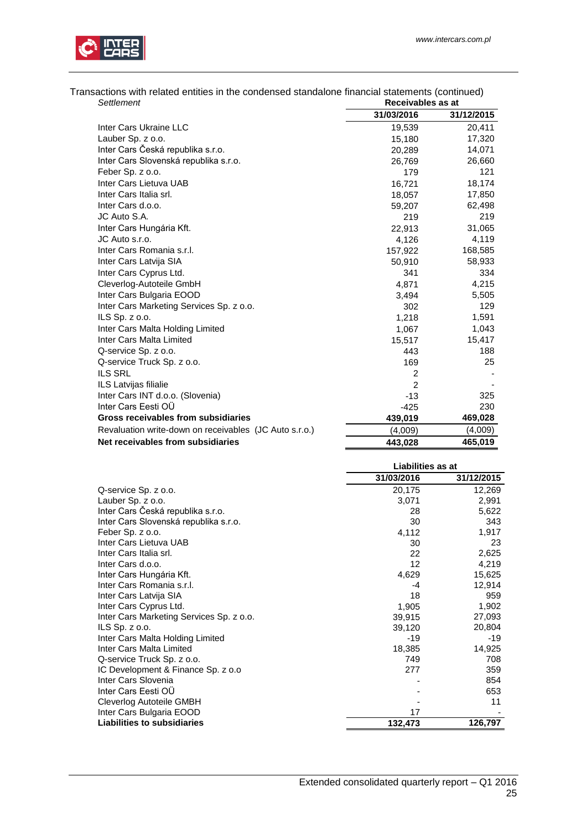



| Settlement                                             | Receivables as at |            |
|--------------------------------------------------------|-------------------|------------|
|                                                        | 31/03/2016        | 31/12/2015 |
| Inter Cars Ukraine LLC                                 | 19,539            | 20,411     |
| Lauber Sp. z o.o.                                      | 15,180            | 17,320     |
| Inter Cars Česká republika s.r.o.                      | 20,289            | 14,071     |
| Inter Cars Slovenská republika s.r.o.                  | 26,769            | 26,660     |
| Feber Sp. z o.o.                                       | 179               | 121        |
| Inter Cars Lietuva UAB                                 | 16,721            | 18,174     |
| Inter Cars Italia srl.                                 | 18,057            | 17,850     |
| Inter Cars d.o.o.                                      | 59,207            | 62,498     |
| JC Auto S.A.                                           | 219               | 219        |
| Inter Cars Hungária Kft.                               | 22,913            | 31,065     |
| JC Auto s.r.o.                                         | 4,126             | 4,119      |
| Inter Cars Romania s.r.l.                              | 157,922           | 168,585    |
| Inter Cars Latvija SIA                                 | 50,910            | 58,933     |
| Inter Cars Cyprus Ltd.                                 | 341               | 334        |
| Cleverlog-Autoteile GmbH                               | 4,871             | 4,215      |
| Inter Cars Bulgaria EOOD                               | 3,494             | 5,505      |
| Inter Cars Marketing Services Sp. z o.o.               | 302               | 129        |
| ILS Sp. z o.o.                                         | 1,218             | 1,591      |
| Inter Cars Malta Holding Limited                       | 1,067             | 1,043      |
| Inter Cars Malta Limited                               | 15,517            | 15,417     |
| Q-service Sp. z o.o.                                   | 443               | 188        |
| Q-service Truck Sp. z o.o.                             | 169               | 25         |
| <b>ILS SRL</b>                                         | $\overline{2}$    |            |
| ILS Latvijas filialie                                  | 2                 |            |
| Inter Cars INT d.o.o. (Slovenia)                       | $-13$             | 325        |
| Inter Cars Eesti OÜ                                    | $-425$            | 230        |
| Gross receivables from subsidiaries                    | 439,019           | 469,028    |
| Revaluation write-down on receivables (JC Auto s.r.o.) | (4,009)           | (4,009)    |
| Net receivables from subsidiaries                      | 443,028           | 465,019    |

|                                          | Liabilities as at |            |  |
|------------------------------------------|-------------------|------------|--|
|                                          | 31/03/2016        | 31/12/2015 |  |
| Q-service Sp. z o.o.                     | 20,175            | 12,269     |  |
| Lauber Sp. z o.o.                        | 3,071             | 2,991      |  |
| Inter Cars Česká republika s.r.o.        | 28                | 5,622      |  |
| Inter Cars Slovenská republika s.r.o.    | 30                | 343        |  |
| Feber Sp. z o.o.                         | 4,112             | 1,917      |  |
| Inter Cars Lietuva UAB                   | 30                | 23         |  |
| Inter Cars Italia srl.                   | 22                | 2,625      |  |
| Inter Cars d.o.o.                        | 12                | 4,219      |  |
| Inter Cars Hungária Kft.                 | 4,629             | 15,625     |  |
| Inter Cars Romania s.r.l.                | -4                | 12,914     |  |
| Inter Cars Latvija SIA                   | 18                | 959        |  |
| Inter Cars Cyprus Ltd.                   | 1,905             | 1,902      |  |
| Inter Cars Marketing Services Sp. z o.o. | 39,915            | 27,093     |  |
| ILS $Sp. z 0.0$ .                        | 39,120            | 20,804     |  |
| Inter Cars Malta Holding Limited         | $-19$             | $-19$      |  |
| Inter Cars Malta Limited                 | 18,385            | 14,925     |  |
| Q-service Truck Sp. z o.o.               | 749               | 708        |  |
| IC Development & Finance Sp. z o.o       | 277               | 359        |  |
| Inter Cars Slovenia                      |                   | 854        |  |
| Inter Cars Eesti OÜ                      |                   | 653        |  |
| Cleverlog Autoteile GMBH                 |                   | 11         |  |
| Inter Cars Bulgaria EOOD                 | 17                |            |  |
| <b>Liabilities to subsidiaries</b>       | 132,473           | 126,797    |  |

Transactions with related entities in the condensed standalone financial statements (continued)